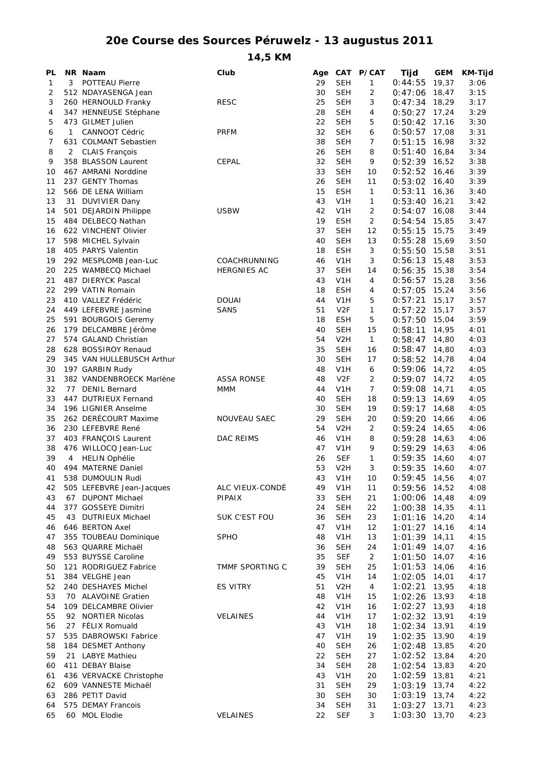## **20e Course des Sources Péruwelz - 13 augustus 2011**

**14,5 KM**

| PL       |    | NR Naam                                        | Club                 | Age      |                                | CAT P/CAT            | Tijd               | <b>GEM</b>     | <b>KM-Tijd</b> |
|----------|----|------------------------------------------------|----------------------|----------|--------------------------------|----------------------|--------------------|----------------|----------------|
| 1        | 3  | POTTEAU Pierre                                 |                      | 29       | <b>SEH</b>                     | 1                    | 0:44:55            | 19,37          | 3:06           |
| 2        |    | 512 NDAYASENGA Jean                            |                      | 30       | <b>SEH</b>                     | 2                    | 0:47:06            | 18,47          | 3:15           |
| 3        |    | 260 HERNOULD Franky                            | <b>RESC</b>          | 25       | <b>SEH</b>                     | 3                    | 0:47:34            | 18,29          | 3:17           |
| 4        |    | 347 HENNEUSE Stéphane                          |                      | 28       | <b>SEH</b>                     | 4                    | 0:50:27            | 17,24          | 3:29           |
| 5        |    | 473 GILMET Julien                              |                      | 22       | <b>SEH</b>                     | 5                    | 0:50:42            | 17,16          | 3:30           |
| 6<br>7   | 1  | <b>CANNOOT Cédric</b>                          | <b>PRFM</b>          | 32<br>38 | <b>SEH</b><br><b>SEH</b>       | 6<br>7               | 0:50:57            | 17,08<br>16,98 | 3:31           |
| 8        | 2  | 631 COLMANT Sebastien<br><b>CLAIS François</b> |                      | 26       | <b>SEH</b>                     | 8                    | 0:51:15<br>0:51:40 | 16,84          | 3:32<br>3:34   |
| 9        |    | 358 BLASSON Laurent                            | <b>CEPAL</b>         | 32       | <b>SEH</b>                     | 9                    | 0:52:39            | 16,52          | 3:38           |
| 10       |    | 467 AMRANI Norddine                            |                      | 33       | <b>SEH</b>                     | 10                   | 0:52:52            | 16,46          | 3:39           |
| 11       |    | 237 GENTY Thomas                               |                      | 26       | <b>SEH</b>                     | 11                   | 0:53:02            | 16,40          | 3:39           |
| 12       |    | 566 DE LENA William                            |                      | 15       | <b>ESH</b>                     | $\mathbf{1}$         | 0:53:11            | 16,36          | 3:40           |
| 13       | 31 | <b>DUVIVIER Dany</b>                           |                      | 43       | V <sub>1</sub> H               | 1                    | 0:53:40            | 16,21          | 3:42           |
| 14       |    | 501 DEJARDIN Philippe                          | <b>USBW</b>          | 42       | V <sub>1</sub> H               | $\overline{2}$       | 0:54:07            | 16,08          | 3:44           |
| 15       |    | 484 DELBECQ Nathan                             |                      | 19       | <b>ESH</b>                     | 2                    | 0:54:54            | 15,85          | 3:47           |
| 16       |    | 622 VINCHENT Olivier                           |                      | 37       | <b>SEH</b>                     | 12                   | 0:55:15            | 15,75          | 3:49           |
| 17       |    | 598 MICHEL Sylvain                             |                      | 40       | <b>SEH</b>                     | 13                   | 0:55:28            | 15,69          | 3:50           |
| 18       |    | 405 PARYS Valentin                             |                      | 18       | <b>ESH</b>                     | 3                    | 0:55:50            | 15,58          | 3:51           |
| 19       |    | 292 MESPLOMB Jean-Luc                          | COACHRUNNING         | 46       | V1H                            | 3                    | 0:56:13            | 15,48          | 3:53           |
| 20<br>21 |    | 225 WAMBECQ Michael<br>487 DIERYCK Pascal      | <b>HERGNIES AC</b>   | 37<br>43 | <b>SEH</b>                     | 14                   | 0:56:35            | 15,38          | 3:54           |
| 22       |    | 299 VATIN Romain                               |                      | 18       | V1H<br><b>ESH</b>              | 4<br>4               | 0:56:57<br>0:57:05 | 15,28<br>15,24 | 3:56<br>3:56   |
| 23       |    | 410 VALLEZ Frédéric                            | <b>DOUAI</b>         | 44       | V1H                            | 5                    | 0:57:21            | 15,17          | 3:57           |
| 24       |    | 449 LEFEBVRE Jasmine                           | <b>SANS</b>          | 51       | V <sub>2F</sub>                | $\mathbf{1}$         | 0:57:22            | 15,17          | 3:57           |
| 25       |    | 591 BOURGOIS Geremy                            |                      | 18       | <b>ESH</b>                     | 5                    | 0:57:50            | 15,04          | 3:59           |
| 26       |    | 179 DELCAMBRE Jérôme                           |                      | 40       | <b>SEH</b>                     | 15                   | 0:58:11            | 14,95          | 4:01           |
| 27       |    | 574 GALAND Christian                           |                      | 54       | V <sub>2</sub> H               | $\mathbf{1}$         | 0:58:47            | 14,80          | 4:03           |
| 28       |    | 628 BOSSIROY Renaud                            |                      | 35       | <b>SEH</b>                     | 16                   | 0:58:47            | 14,80          | 4:03           |
| 29       |    | 345 VAN HULLEBUSCH Arthur                      |                      | 30       | <b>SEH</b>                     | 17                   | 0:58:52            | 14,78          | 4:04           |
| 30       |    | 197 GARBIN Rudy                                |                      | 48       | V1H                            | 6                    | 0:59:06            | 14,72          | 4:05           |
| 31       |    | 382 VANDENBROECK Marlène                       | <b>ASSA RONSE</b>    | 48       | V <sub>2F</sub>                | 2                    | 0:59:07            | 14,72          | 4:05           |
| 32       |    | 77 DENIL Bernard                               | <b>MMM</b>           | 44       | V1H                            | $\overline{7}$       | 0:59:08            | 14,71          | 4:05           |
| 33       |    | 447 DUTRIEUX Fernand                           |                      | 40       | <b>SEH</b>                     | 18                   | 0:59:13            | 14,69          | 4:05           |
| 34       |    | 196 LIGNIER Anselme                            |                      | 30       | <b>SEH</b>                     | 19                   | 0:59:17            | 14,68          | 4:05           |
| 35<br>36 |    | 262 DERÉCOURT Maxime<br>230 LEFEBVRE René      | NOUVEAU SAEC         | 29<br>54 | <b>SEH</b><br>V <sub>2</sub> H | 20<br>$\overline{2}$ | 0:59:20<br>0:59:24 | 14,66<br>14,65 | 4:06<br>4:06   |
| 37       |    | 403 FRANÇOIS Laurent                           | <b>DAC REIMS</b>     | 46       | V <sub>1</sub> H               | 8                    | 0:59:28            | 14,63          | 4:06           |
| 38       |    | 476 WILLOCQ Jean-Luc                           |                      | 47       | V1H                            | 9                    | 0:59:29            | 14,63          | 4:06           |
| 39       | 4  | <b>HELIN Ophélie</b>                           |                      | 26       | <b>SEF</b>                     | 1                    | 0:59:35            | 14,60          | 4:07           |
| 40       |    | 494 MATERNE Daniel                             |                      | 53       | V <sub>2</sub> H               | 3                    | 0:59:35            | 14,60          | 4:07           |
| 41       |    | 538 DUMOULIN Rudi                              |                      | 43       | V <sub>1</sub> H               | 10                   | 0:59:45            | 14,56          | 4:07           |
| 42       |    | 505 LEFEBVRE Jean-Jacques                      | ALC VIEUX-CONDÉ      | 49       | V <sub>1</sub> H               | 11                   | $0:59:56$ 14,52    |                | 4:08           |
| 43       | 67 | <b>DUPONT Michael</b>                          | PIPAIX               | 33       | <b>SEH</b>                     | 21                   | 1:00:06            | 14,48          | 4:09           |
| 44       |    | 377 GOSSEYE Dimitri                            |                      | 24       | <b>SEH</b>                     | 22                   | $1:00:38$ 14,35    |                | 4:11           |
| 45       | 43 | <b>DUTRIEUX Michael</b>                        | <b>SUK C'EST FOU</b> | 36       | <b>SEH</b>                     | 23                   | $1:01:16$ 14,20    |                | 4:14           |
| 46       |    | 646 BERTON Axel                                |                      | 47       | V <sub>1</sub> H               | 12                   | 1:01:27            | 14,16          | 4:14           |
| 47       |    | 355 TOUBEAU Dominique                          | <b>SPHO</b>          | 48       | V1H                            | 13                   | 1:01:39            | 14,11          | 4:15           |
| 48       |    | 563 QUARRE Michaël<br>553 BUYSSE Caroline      |                      | 36<br>35 | <b>SEH</b><br><b>SEF</b>       | 24                   | 1:01:49<br>1:01:50 | 14,07          | 4:16           |
| 49<br>50 |    | 121 RODRIGUEZ Fabrice                          | TMMF SPORTING C      | 39       | <b>SEH</b>                     | $\overline{2}$<br>25 | 1:01:53            | 14,07<br>14,06 | 4:16<br>4:16   |
| 51       |    | 384 VELGHE Jean                                |                      | 45       | V <sub>1</sub> H               | 14                   | 1:02:05            | 14,01          | 4:17           |
| 52       |    | 240 DESHAYES Michel                            | <b>ES VITRY</b>      | 51       | V <sub>2</sub> H               | $\overline{4}$       | 1:02:21            | 13,95          | 4:18           |
| 53       |    | 70 ALAVOINE Gratien                            |                      | 48       | V <sub>1</sub> H               | 15                   | 1:02:26 13,93      |                | 4:18           |
| 54       |    | 109 DELCAMBRE Olivier                          |                      | 42       | V <sub>1</sub> H               | 16                   | $1:02:27$ 13,93    |                | 4:18           |
| 55       |    | 92 NORTIER Nicolas                             | <b>VELAINES</b>      | 44       | V <sub>1</sub> H               | 17                   | $1:02:32$ 13,91    |                | 4:19           |
| 56       |    | 27 FÉLIX Romuald                               |                      | 43       | V <sub>1</sub> H               | 18                   | 1:02:34            | 13,91          | 4:19           |
| 57       |    | 535 DABROWSKI Fabrice                          |                      | 47       | V <sub>1</sub> H               | 19                   | 1:02:35            | 13,90          | 4:19           |
| 58       |    | 184 DESMET Anthony                             |                      | 40       | <b>SEH</b>                     | 26                   | 1:02:48            | 13,85          | 4:20           |
| 59       |    | 21 LABYE Mathieu                               |                      | 22       | <b>SEH</b>                     | 27                   | 1:02:52            | 13,84          | 4:20           |
| 60       |    | 411 DEBAY Blaise                               |                      | 34       | <b>SEH</b>                     | 28                   | 1:02:54            | 13,83          | 4:20           |
| 61       |    | 436 VERVACKE Christophe                        |                      | 43       | V <sub>1</sub> H               | 20                   | $1:02:59$ 13,81    |                | 4:21           |
| 62       |    | 609 VANNESTE Michaël                           |                      | 31       | <b>SEH</b>                     | 29                   | $1:03:19$ 13,74    |                | 4:22           |
| 63       |    | 286 PETIT David<br>575 DEMAY Francois          |                      | 30<br>34 | <b>SEH</b><br><b>SEH</b>       | 30<br>31             | 1:03:19            | 13,74<br>13,71 | 4:22           |
| 64<br>65 |    | 60 MOL Elodie                                  | VELAINES             | 22       | <b>SEF</b>                     | 3                    | 1:03:27<br>1:03:30 | 13,70          | 4:23<br>4:23   |
|          |    |                                                |                      |          |                                |                      |                    |                |                |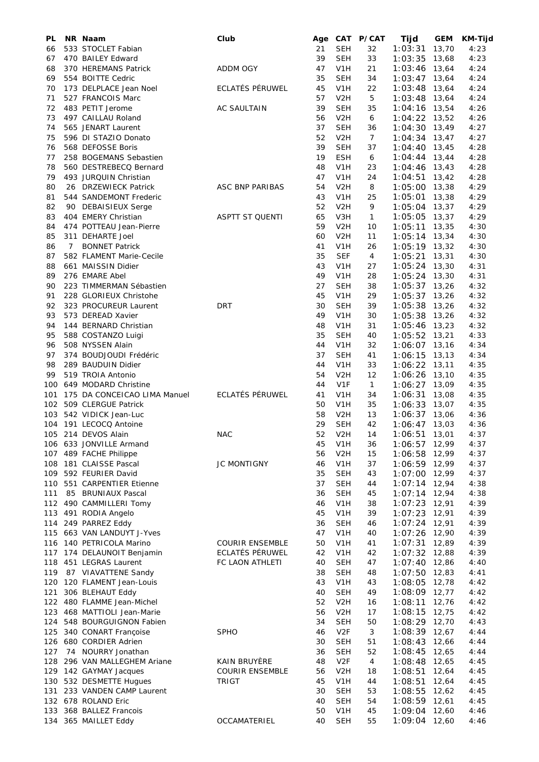| PL         |    | NR Naam                                        | Club                                             |          |                                | Age CAT P/CAT  | Tijd               | <b>GEM</b>     | <b>KM-Tijd</b> |
|------------|----|------------------------------------------------|--------------------------------------------------|----------|--------------------------------|----------------|--------------------|----------------|----------------|
| 66         |    | 533 STOCLET Fabian                             |                                                  | 21       | <b>SEH</b>                     | 32             | 1:03:31            | 13,70          | 4:23           |
| 67         |    | 470 BAILEY Edward                              |                                                  | 39       | SEH                            | 33             | 1:03:35            | 13,68          | 4:23           |
| 68         |    | 370 HEREMANS Patrick                           | <b>ADDM OGY</b>                                  | 47       | V <sub>1</sub> H               | 21             | 1:03:46            | 13,64          | 4:24           |
| 69         |    | 554 BOITTE Cedric                              |                                                  | 35       | <b>SEH</b>                     | 34             | 1:03:47            | 13,64          | 4:24           |
| 70         |    | 173 DELPLACE Jean Noel                         | ECLATÉS PÉRUWEL                                  | 45       | V <sub>1</sub> H               | 22             | 1:03:48            | 13,64          | 4:24           |
| 71         |    | 527 FRANCOIS Marc                              |                                                  | 57       | V <sub>2</sub> H               | 5              | 1:03:48            | 13,64          | 4:24           |
| 72         |    | 483 PETIT Jerome                               | <b>AC SAULTAIN</b>                               | 39       | <b>SEH</b>                     | 35             | 1:04:16            | 13,54          | 4:26           |
| 73         |    | 497 CAILLAU Roland                             |                                                  | 56       | V <sub>2</sub> H               | 6              | $1:04:22$ 13,52    |                | 4:26           |
| 74         |    | 565 JENART Laurent                             |                                                  | 37       | <b>SEH</b>                     | 36             | 1:04:30            | 13,49          | 4:27           |
| 75         |    | 596 DI STAZIO Donato                           |                                                  | 52       | V <sub>2</sub> H               | $\overline{7}$ | 1:04:34            | 13,47          | 4:27           |
| 76         |    | 568 DEFOSSE Boris                              |                                                  | 39       | <b>SEH</b>                     | 37             | 1:04:40            | 13,45          | 4:28           |
| 77         |    | 258 BOGEMANS Sebastien                         |                                                  | 19       | <b>ESH</b>                     | 6              | 1:04:44            | 13,44          | 4:28           |
| 78         |    | 560 DESTREBECQ Bernard                         |                                                  | 48       | V <sub>1</sub> H               | 23             | 1:04:46            | 13,43          | 4:28           |
| 79         |    | 493 JURQUIN Christian                          |                                                  | 47       | V <sub>1</sub> H               | 24             | 1:04:51            | 13,42          | 4:28           |
| 80         |    | 26 DRZEWIECK Patrick                           | ASC BNP PARIBAS                                  | 54       | V <sub>2</sub> H               | 8              | 1:05:00            | 13,38          | 4:29           |
| 81         |    | 544 SANDEMONT Frederic                         |                                                  | 43       | V <sub>1</sub> H               | 25             | 1:05:01            | 13,38          | 4:29           |
| 82         |    | 90 DEBAISIEUX Serge                            |                                                  | 52       | V <sub>2</sub> H               | 9              | 1:05:04            | 13,37          | 4:29           |
| 83         |    | 404 EMERY Christian                            | <b>ASPTT ST QUENTI</b>                           | 65       | V3H                            | $\mathbf{1}$   | 1:05:05            | 13,37          | 4:29           |
| 84         |    | 474 POTTEAU Jean-Pierre                        |                                                  | 59       | V <sub>2</sub> H               | 10             | 1:05:11            | 13,35          | 4:30           |
| 85         |    | 311 DEHARTE Joel                               |                                                  | 60       | V <sub>2</sub> H               | 11             | 1:05:14            | 13,34          | 4:30           |
| 86         | 7  | <b>BONNET Patrick</b>                          |                                                  | 41       | V <sub>1</sub> H               | 26             | $1:05:19$ 13,32    |                | 4:30           |
| 87         |    | 582 FLAMENT Marie-Cecile                       |                                                  | 35       | <b>SEF</b>                     | 4              | 1:05:21            | 13,31          | 4:30           |
| 88         |    | 661 MAISSIN Didier                             |                                                  | 43       | V <sub>1</sub> H               | 27             | 1:05:24            | 13,30          | 4:31           |
| 89         |    | 276 EMARE Abel                                 |                                                  | 49       | V <sub>1</sub> H               | 28             | 1:05:24            | 13,30          | 4:31           |
| 90         |    | 223 TIMMERMAN Sébastien                        |                                                  | 27       | <b>SEH</b>                     | 38             | 1:05:37            | 13,26          | 4:32           |
| 91         |    | 228 GLORIEUX Christohe                         |                                                  | 45       | V <sub>1</sub> H               | 29             | 1:05:37            | 13,26          | 4:32           |
| 92         |    | 323 PROCUREUR Laurent                          | DRT                                              | 30       | <b>SEH</b>                     | 39             | 1:05:38            | 13,26          | 4:32           |
| 93         |    | 573 DEREAD Xavier                              |                                                  | 49       | V <sub>1</sub> H               | 30             | 1:05:38            | 13,26          | 4:32           |
| 94         |    | 144 BERNARD Christian                          |                                                  | 48       | V <sub>1</sub> H               | 31             | 1:05:46            | 13,23          | 4:32           |
| 95         |    | 588 COSTANZO Luigi                             |                                                  | 35       | <b>SEH</b>                     | 40             | $1:05:52$ 13,21    |                | 4:33           |
| 96         |    | 508 NYSSEN Alain                               |                                                  | 44       | V <sub>1</sub> H               | 32             | 1:06:07 13,16      |                | 4:34           |
| 97         |    | 374 BOUDJOUDI Frédéric                         |                                                  | 37       | <b>SEH</b>                     | 41             | 1:06:15            | 13,13          | 4:34           |
| 98         |    | 289 BAUDUIN Didier                             |                                                  | 44       | V <sub>1</sub> H               | 33             | 1:06:22            | 13,11          | 4:35           |
| 99         |    | 519 TROIA Antonio                              |                                                  | 54       | V <sub>2</sub> H               | 12             | 1:06:26            | 13,10          | 4:35           |
| 100        |    | 649 MODARD Christine                           |                                                  | 44       | V <sub>1F</sub>                | $\mathbf{1}$   | 1:06:27            | 13,09          | 4:35           |
| 101        |    | 175 DA CONCEICAO LIMA Manuel                   | ECLATÉS PÉRUWEL                                  | 41       | V <sub>1</sub> H               | 34             | 1:06:31            | 13,08          | 4:35           |
| 102        |    | 509 CLERGUE Patrick                            |                                                  | 50       | V <sub>1</sub> H               | 35             | 1:06:33            | 13,07          | 4:35           |
| 103        |    | 542 VIDICK Jean-Luc                            |                                                  | 58       | V <sub>2</sub> H               | 13             | 1:06:37            | 13,06          | 4:36           |
| 104        |    | 191 LECOCQ Antoine                             |                                                  | 29       | <b>SEH</b>                     | 42             | 1:06:47            | 13,03          | 4:36           |
|            |    | 105 214 DEVOS Alain                            | <b>NAC</b>                                       | 52       | V <sub>2</sub> H               | 14             | 1:06:51            | 13,01          | 4:37           |
| 106        |    | 633 JONVILLE Armand                            |                                                  | 45       | V <sub>1</sub> H               | 36             | 1:06:57            | 12,99          | 4:37           |
|            |    | 107 489 FACHE Philippe                         |                                                  | 56       | V <sub>2</sub> H               | 15             | 1:06:58            | 12,99          | 4:37           |
|            |    | 108 181 CLAISSE Pascal                         | <b>JC MONTIGNY</b>                               | 46       | V <sub>1</sub> H               | 37             | 1:06:59            | 12,99          | 4:37           |
|            |    | 109 592 FEURIER David                          |                                                  | 35       | <b>SEH</b>                     | 43             | $1:07:00$ 12,99    |                | 4:37           |
|            |    | 110 551 CARPENTIER Etienne                     |                                                  | 37       | <b>SEH</b>                     | 44             | 1:07:14            | 12,94          | 4:38           |
| 111        | 85 | <b>BRUNIAUX Pascal</b>                         |                                                  | 36       | <b>SEH</b>                     | 45             | 1:07:14            | 12,94          | 4:38           |
| 112        |    | 490 CAMMILLERI Tomy                            |                                                  | 46       | V <sub>1</sub> H               | 38             | 1:07:23            | 12,91          | 4:39           |
| 113        |    | 491 RODIA Angelo                               |                                                  | 45       | V <sub>1</sub> H               | 39             | 1:07:23            | 12,91          | 4:39           |
| 114        |    | 249 PARREZ Eddy                                |                                                  | 36       | <b>SEH</b>                     | 46             | 1:07:24            | 12,91          | 4:39           |
|            |    | 115 663 VAN LANDUYT J-Yves                     |                                                  | 47       | V <sub>1</sub> H               | 40             | 1:07:26            | 12,90          | 4:39           |
|            |    | 116 140 PETRICOLA Marino                       | <b>COURIR ENSEMBLE</b><br><b>ECLATÉS PÉRUWEL</b> | 50       | V <sub>1</sub> H               | 41             | 1:07:31            | 12,89          | 4:39           |
| 117        |    | 174 DELAUNOIT Benjamin                         |                                                  | 42       | V <sub>1</sub> H               | 42             | 1:07:32            | 12,88          | 4:39           |
| 118        |    | 451 LEGRAS Laurent                             | FC LAON ATHLETI                                  | 40       | <b>SEH</b>                     | 47             | 1:07:40            | 12,86          | 4:40           |
| 119        |    | 87 VIAVATTENE Sandy                            |                                                  | 38       | <b>SEH</b>                     | 48             | 1:07:50            | 12,83          | 4:41           |
| 120        |    | 120 FLAMENT Jean-Louis                         |                                                  | 43       | V <sub>1</sub> H               | 43             | 1:08:05            | 12,78          | 4:42           |
| 121<br>122 |    | 306 BLEHAUT Eddy<br>480 FLAMME Jean-Michel     |                                                  | 40<br>52 | <b>SEH</b><br>V <sub>2</sub> H | 49             | 1:08:09            | 12,77          | 4:42<br>4:42   |
| 123        |    | 468 MATTIOLI Jean-Marie                        |                                                  | 56       | V <sub>2</sub> H               | 16<br>17       | 1:08:11<br>1:08:15 | 12,76<br>12,75 | 4:42           |
| 124        |    | 548 BOURGUIGNON Fabien                         |                                                  | 34       | SEH                            | 50             | 1:08:29            | 12,70          | 4:43           |
| 125        |    | 340 CONART Françoise                           | <b>SPHO</b>                                      | 46       | V <sub>2F</sub>                | 3              | 1:08:39            | 12,67          | 4:44           |
|            |    | 126 680 CORDIER Adrien                         |                                                  | 30       | <b>SEH</b>                     | 51             |                    | 12,66          |                |
|            |    |                                                |                                                  |          |                                |                | 1:08:43            |                | 4:44           |
| 127<br>128 |    | 74 NOURRY Jonathan<br>296 VAN MALLEGHEM Ariane | KAIN BRUYÈRE                                     | 36<br>48 | SEH<br>V <sub>2F</sub>         | 52<br>4        | 1:08:45<br>1:08:48 | 12,65<br>12,65 | 4:44<br>4:45   |
|            |    | 129 142 GAYMAY Jacques                         | <b>COURIR ENSEMBLE</b>                           | 56       | V <sub>2</sub> H               | 18             |                    | 12,64          |                |
|            |    | 130 532 DESMETTE Hugues                        | <b>TRIGT</b>                                     | 45       | V <sub>1</sub> H               | 44             | 1:08:51<br>1:08:51 | 12,64          | 4:45<br>4:45   |
| 131        |    | 233 VANDEN CAMP Laurent                        |                                                  | 30       | SEH                            | 53             | 1:08:55            | 12,62          | 4:45           |
|            |    | 132 678 ROLAND Eric                            |                                                  | 40       | <b>SEH</b>                     | 54             | 1:08:59            | 12,61          | 4:45           |
| 133        |    | 368 BALLEZ Francois                            |                                                  | 50       | V <sub>1</sub> H               | 45             | 1:09:04            | 12,60          | 4:46           |
|            |    | 134 365 MAILLET Eddy                           | OCCAMATERIEL                                     | 40       | <b>SEH</b>                     | 55             | 1:09:04 12,60      |                | 4:46           |
|            |    |                                                |                                                  |          |                                |                |                    |                |                |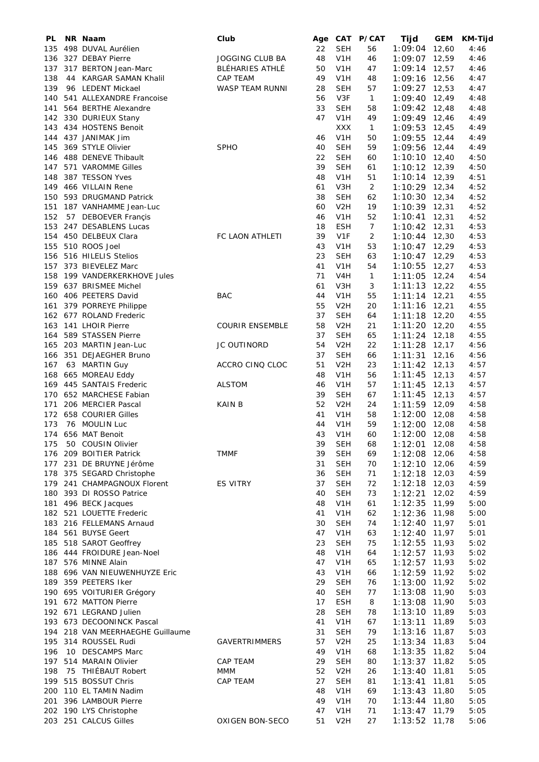| PL  |    | NR Naam                      | Club                   |    |                  | Age CAT P/CAT  | Tijd            | <b>GEM</b> | <b>KM-Tijd</b> |
|-----|----|------------------------------|------------------------|----|------------------|----------------|-----------------|------------|----------------|
| 135 |    | 498 DUVAL Aurélien           |                        | 22 | <b>SEH</b>       | 56             | 1:09:04         | 12,60      | 4:46           |
| 136 |    | 327 DEBAY Pierre             | JOGGING CLUB BA        | 48 | V <sub>1</sub> H | 46             | 1:09:07         | 12,59      | 4:46           |
| 137 |    | 317 BERTON Jean-Marc         | BLÉHARIES ATHLÉ        | 50 | V <sub>1</sub> H | 47             | 1:09:14         | 12,57      | 4:46           |
| 138 | 44 | <b>KARGAR SAMAN Khalil</b>   | <b>CAP TEAM</b>        | 49 | V <sub>1</sub> H | 48             | 1:09:16         | 12,56      | 4:47           |
| 139 |    | 96 LEDENT Mickael            | WASP TEAM RUNNI        | 28 | <b>SEH</b>       | 57             | 1:09:27         | 12,53      | 4:47           |
| 140 |    | 541 ALLEXANDRE Francoise     |                        | 56 | V3F              | $\mathbf{1}$   | 1:09:40 12,49   |            | 4:48           |
| 141 |    | 564 BERTHE Alexandre         |                        | 33 | <b>SEH</b>       | 58             | 1:09:42         | 12,48      | 4:48           |
|     |    | 142 330 DURIEUX Stany        |                        | 47 | V <sub>1</sub> H | 49             | $1:09:49$ 12,46 |            | 4:49           |
|     |    | 434 HOSTENS Benoit           |                        |    | <b>XXX</b>       |                |                 | 12,45      |                |
| 143 |    |                              |                        |    |                  | 1              | 1:09:53         |            | 4:49           |
|     |    | 144 437 JANIMAK Jim          |                        | 46 | V <sub>1</sub> H | 50             | 1:09:55         | 12,44      | 4:49           |
| 145 |    | 369 STYLE Olivier            | <b>SPHO</b>            | 40 | <b>SEH</b>       | 59             | 1:09:56         | 12,44      | 4:49           |
|     |    | 146 488 DENEVE Thibault      |                        | 22 | <b>SEH</b>       | 60             | $1:10:10$ 12,40 |            | 4:50           |
| 147 |    | 571 VAROMME Gilles           |                        | 39 | <b>SEH</b>       | 61             | $1:10:12$ 12,39 |            | 4:50           |
| 148 |    | 387 TESSON Yves              |                        | 48 | V <sub>1</sub> H | 51             | $1:10:14$ 12,39 |            | 4:51           |
| 149 |    | 466 VILLAIN Rene             |                        | 61 | V3H              | $\overline{2}$ | 1:10:29 12,34   |            | 4:52           |
|     |    | 150 593 DRUGMAND Patrick     |                        | 38 | <b>SEH</b>       | 62             | $1:10:30$ 12,34 |            | 4:52           |
|     |    | 151 187 VANHAMME Jean-Luc    |                        | 60 | V <sub>2</sub> H | 19             | $1:10:39$ 12,31 |            | 4:52           |
| 152 |    | 57 DEBOEVER Françis          |                        | 46 | V <sub>1</sub> H | 52             | 1:10:41         | 12,31      | 4:52           |
| 153 |    | 247 DESABLENS Lucas          |                        | 18 | <b>ESH</b>       | $\overline{7}$ | $1:10:42$ 12,31 |            | 4:53           |
| 154 |    | 450 DELBEUX Clara            | FC LAON ATHLETI        | 39 | V <sub>1F</sub>  | $\overline{2}$ | 1:10:44         | 12,30      | 4:53           |
| 155 |    | 510 ROOS Joel                |                        | 43 | V <sub>1</sub> H | 53             | $1:10:47$ 12,29 |            | 4:53           |
|     |    | 156 516 HILELIS Stelios      |                        | 23 | <b>SEH</b>       | 63             | 1:10:47         | 12,29      | 4:53           |
|     |    | 157 373 BIEVELEZ Marc        |                        | 41 | V <sub>1</sub> H | 54             | 1:10:55         | 12,27      | 4:53           |
|     |    |                              |                        |    |                  |                |                 |            |                |
|     |    | 158 199 VANDERKERKHOVE Jules |                        | 71 | V <sub>4</sub> H | $\mathbf{1}$   | 1:11:05         | 12,24      | 4:54           |
|     |    | 159 637 BRISMEE Michel       |                        | 61 | V3H              | 3              | $1:11:13$ 12,22 |            | 4:55           |
| 160 |    | 406 PEETERS David            | <b>BAC</b>             | 44 | V <sub>1</sub> H | 55             | $1:11:14$ 12,21 |            | 4:55           |
| 161 |    | 379 PORREYE Philippe         |                        | 55 | V <sub>2</sub> H | 20             | 1:11:16         | 12,21      | 4:55           |
|     |    | 162 677 ROLAND Frederic      |                        | 37 | <b>SEH</b>       | 64             | $1:11:18$ 12,20 |            | 4:55           |
| 163 |    | 141 LHOIR Pierre             | <b>COURIR ENSEMBLE</b> | 58 | V <sub>2</sub> H | 21             | 1:11:20         | 12,20      | 4:55           |
| 164 |    | 589 STASSEN Pierre           |                        | 37 | <b>SEH</b>       | 65             | 1:11:24         | 12,18      | 4:55           |
| 165 |    | 203 MARTIN Jean-Luc          | JC OUTINORD            | 54 | V <sub>2</sub> H | 22             | 1:11:28         | 12,17      | 4:56           |
| 166 |    | 351 DEJAEGHER Bruno          |                        | 37 | <b>SEH</b>       | 66             | 1:11:31         | 12,16      | 4:56           |
| 167 |    | 63 MARTIN Guy                | ACCRO CINQ CLOC        | 51 | V <sub>2</sub> H | 23             | 1:11:42         | 12, 13     | 4:57           |
|     |    | 168 665 MOREAU Eddy          |                        | 48 | V <sub>1</sub> H | 56             | 1:11:45         | 12,13      | 4:57           |
|     |    | 169 445 SANTAIS Frederic     | <b>ALSTOM</b>          | 46 | V <sub>1</sub> H | 57             | 1:11:45         | 12,13      | 4:57           |
|     |    | 170 652 MARCHESE Fabian      |                        | 39 | SEH              | 67             | 1:11:45         | 12,13      | 4:57           |
|     |    | 206 MERCIER Pascal           | <b>KAIN B</b>          | 52 | V <sub>2</sub> H | 24             | $1:11:59$ 12,09 |            | 4:58           |
| 171 |    |                              |                        |    |                  |                |                 |            |                |
|     |    | 172 658 COURIER Gilles       |                        | 41 | V <sub>1</sub> H | 58             | $1:12:00$ 12,08 |            | 4:58           |
| 173 |    | 76 MOULIN Luc                |                        | 44 | V <sub>1</sub> H | 59             | 1:12:00         | 12,08      | 4:58           |
| 174 |    | 656 MAT Benoit               |                        | 43 | V <sub>1</sub> H | 60             | 1:12:00 12,08   |            | 4:58           |
| 175 | 50 | COUSIN Olivier               |                        | 39 | SEH              | 68             | 1:12:01         | 12,08      | 4:58           |
| 176 |    | 209 BOITIER Patrick          | <b>TMMF</b>            | 39 | <b>SEH</b>       | 69             | 1:12:08         | 12,06      | 4:58           |
| 177 |    | 231 DE BRUYNE Jérôme         |                        | 31 | <b>SEH</b>       | 70             | 1:12:10         | 12,06      | 4:59           |
| 178 |    | 375 SEGARD Christophe        |                        | 36 | <b>SEH</b>       | 71             | 1:12:18         | 12,03      | 4:59           |
| 179 |    | 241 CHAMPAGNOUX Florent      | ES VITRY               | 37 | <b>SEH</b>       | 72             | 1:12:18         | 12,03      | 4:59           |
| 180 |    | 393 DI ROSSO Patrice         |                        | 40 | <b>SEH</b>       | 73             | 1:12:21         | 12,02      | 4:59           |
| 181 |    | 496 BECK Jacques             |                        | 48 | V <sub>1</sub> H | 61             | 1:12:35         | 11,99      | 5:00           |
| 182 |    | 521 LOUETTE Frederic         |                        | 41 | V <sub>1</sub> H | 62             | 1:12:36         | 11,98      | 5:00           |
| 183 |    | 216 FELLEMANS Arnaud         |                        | 30 | <b>SEH</b>       | 74             | 1:12:40         | 11,97      | 5:01           |
| 184 |    | 561 BUYSE Geert              |                        | 47 | V <sub>1</sub> H | 63             | 1:12:40         | 11,97      | 5:01           |
| 185 |    | 518 SAROT Geoffrey           |                        | 23 | <b>SEH</b>       | 75             | 1:12:55         | 11,93      | 5:02           |
|     |    | 186 444 FROIDURE Jean-Noel   |                        | 48 | V <sub>1</sub> H | 64             | 1:12:57         | 11,93      | 5:02           |
| 187 |    | 576 MINNE Alain              |                        | 47 | V <sub>1</sub> H | 65             | 1:12:57         | 11,93      | 5:02           |
|     |    |                              |                        | 43 |                  |                |                 |            |                |
| 188 |    | 696 VAN NIEUWENHUYZE Eric    |                        |    | V <sub>1</sub> H | 66             | 1:12:59         | 11,92      | 5:02           |
| 189 |    | 359 PEETERS Iker             |                        | 29 | <b>SEH</b>       | 76             | 1:13:00         | 11,92      | 5:02           |
|     |    | 190 695 VOITURIER Grégory    |                        | 40 | <b>SEH</b>       | 77             | 1:13:08         | 11,90      | 5:03           |
| 191 |    | 672 MATTON Pierre            |                        | 17 | <b>ESH</b>       | 8              | 1:13:08         | 11,90      | 5:03           |
|     |    | 192 671 LEGRAND Julien       |                        | 28 | <b>SEH</b>       | 78             | 1:13:10         | 11,89      | 5:03           |
| 193 |    | 673 DECOONINCK Pascal        |                        | 41 | V <sub>1</sub> H | 67             | 1:13:11         | 11,89      | 5:03           |
| 194 |    | 218 VAN MEERHAEGHE Guillaume |                        | 31 | <b>SEH</b>       | 79             | 1:13:16         | 11,87      | 5:03           |
| 195 |    | 314 ROUSSEL Rudi             | <b>GAVERTRIMMERS</b>   | 57 | V <sub>2</sub> H | 25             | 1:13:34         | 11,83      | 5:04           |
| 196 |    | 10 DESCAMPS Marc             |                        | 49 | V <sub>1</sub> H | 68             | 1:13:35         | 11,82      | 5:04           |
| 197 |    | 514 MARAIN Olivier           | <b>CAP TEAM</b>        | 29 | <b>SEH</b>       | 80             | 1:13:37         | 11,82      | 5:05           |
| 198 |    | 75 THIÉBAUT Robert           | MMM                    | 52 | V <sub>2</sub> H | 26             | 1:13:40         | 11,81      | 5:05           |
| 199 |    | 515 BOSSUT Chris             | CAP TEAM               | 27 | <b>SEH</b>       | 81             | 1:13:41         | 11,81      | 5:05           |
|     |    | 200 110 EL TAMIN Nadim       |                        | 48 | V <sub>1</sub> H | 69             | 1:13:43         | 11,80      | 5:05           |
| 201 |    | 396 LAMBOUR Pierre           |                        | 49 | V <sub>1</sub> H | 70             | 1:13:44         | 11,80      | 5:05           |
|     |    | 202 190 LYS Christophe       |                        | 47 | V <sub>1</sub> H | 71             | 1:13:47         | 11,79      | 5:05           |
|     |    |                              |                        |    |                  |                |                 |            |                |
|     |    | 203 251 CALCUS Gilles        | OXIGEN BON-SECO        | 51 | V <sub>2</sub> H | 27             | $1:13:52$ 11,78 |            | 5:06           |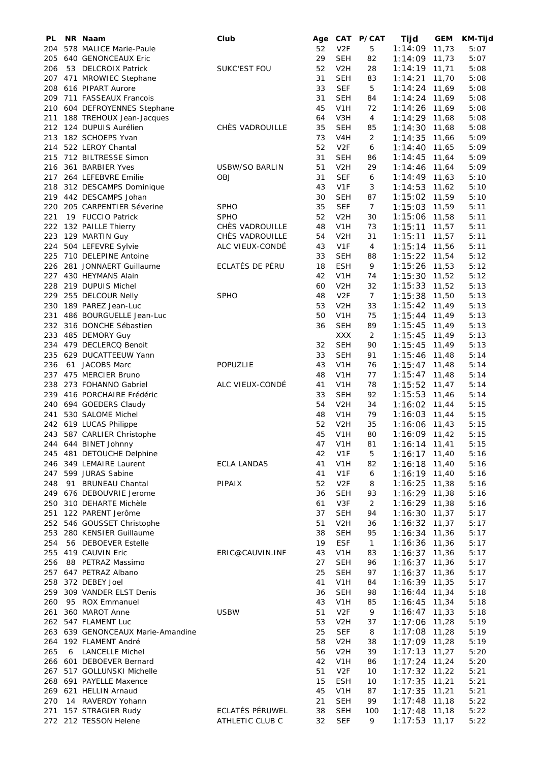| PL         | NR Naam                               | Club                  | Age      |                   | CAT P/CAT      | Tijd               | <b>GEM</b>     | KM-Tijd      |
|------------|---------------------------------------|-----------------------|----------|-------------------|----------------|--------------------|----------------|--------------|
| 204        | 578 MALICE Marie-Paule                |                       | 52       | V2F               | 5              | 1:14:09            | 11,73          | 5:07         |
| 205        | 640 GENONCEAUX Eric                   |                       | 29       | SEH               | 82             | 1:14:09            | 11,73          | 5:07         |
| 206        | 53 DELCROIX Patrick                   | <b>SUKC'EST FOU</b>   | 52       | V <sub>2</sub> H  | 28             | 1:14:19            | 11,71          | 5:08         |
| 207        | 471 MROWIEC Stephane                  |                       | 31       | SEH               | 83             | 1:14:21            | 11,70          | 5:08         |
| 208        | 616 PIPART Aurore                     |                       | 33       | <b>SEF</b>        | 5              | 1:14:24            | 11,69          | 5:08         |
| 209        | 711 FASSEAUX Francois                 |                       | 31       | SEH               | 84             | 1:14:24            | 11,69          | 5:08         |
| 210        | 604 DEFROYENNES Stephane              |                       | 45       | V1H               | 72             | 1:14:26            | 11,69          | 5:08         |
| 211        | 188 TREHOUX Jean-Jacques              |                       | 64       | V3H               | 4              | 1:14:29            | 11,68          | 5:08         |
| 212        | 124 DUPUIS Aurélien                   | CHÈS VADROUILLE       | 35       | SEH               | 85             | 1:14:30            | 11,68          | 5:08         |
| 213        | 182 SCHOEPS Yvan                      |                       | 73       | V4H               | $\overline{2}$ | 1:14:35            | 11,66          | 5:09         |
| 214        | 522 LEROY Chantal                     |                       | 52       | V <sub>2F</sub>   | 6              | 1:14:40            | 11,65          | 5:09         |
| 215        | 712 BILTRESSE Simon                   |                       | 31       | SEH               | 86             | 1:14:45            | 11,64          | 5:09         |
| 216        | 361 BARBIER Yves                      | <b>USBW/SO BARLIN</b> | 51       | V <sub>2</sub> H  | 29             | 1:14:46            | 11,64          | 5:09         |
| 217        | 264 LEFEBVRE Emilie                   | <b>OBJ</b>            | 31       | <b>SEF</b>        | 6              | 1:14:49            | 11,63          | 5:10         |
| 218        | 312 DESCAMPS Dominique                |                       | 43       | V <sub>1F</sub>   | 3              | 1:14:53            | 11,62          | 5:10         |
|            | 219 442 DESCAMPS Johan                |                       | 30       | SEH               | 87             | 1:15:02            | 11,59          | 5:10         |
| 220        | 205 CARPENTIER Séverine               | <b>SPHO</b>           | 35       | <b>SEF</b>        | $\overline{7}$ | 1:15:03            | 11,59          | 5:11         |
| 221        | 19 FUCCIO Patrick                     | <b>SPHO</b>           | 52       | V <sub>2</sub> H  | 30             | 1:15:06            | 11,58          | 5:11         |
| 222        | 132 PAILLE Thierry                    | CHÈS VADROUILLE       | 48       | V1H               | 73             | 1:15:11            | 11,57          | 5:11         |
| 223        | 129 MARTIN Guy                        | CHES VADROUILLE       | 54       | V2H               | 31             | 1:15:11            | 11,57          | 5:11         |
| 224        | 504 LEFEVRE Sylvie                    | ALC VIEUX-CONDÉ       | 43       | V <sub>1F</sub>   | $\overline{4}$ | 1:15:14            | 11,56          | 5:11         |
| 225        | 710 DELEPINE Antoine                  |                       | 33       | <b>SEH</b>        | 88             | 1:15:22            | 11,54          | 5:12         |
| 226        | 281 JONNAERT Guillaume                | ECLATÉS DE PÉRU       | 18       | <b>ESH</b>        | 9              | 1:15:26            | 11,53          | 5:12         |
| 227        | 430 HEYMANS Alain                     |                       | 42       | V1H               | 74             | 1:15:30            | 11,52          | 5:12         |
| 228        | 219 DUPUIS Michel                     |                       | 60       | V <sub>2</sub> H  | 32             | 1:15:33            | 11,52          | 5:13         |
| 229        | 255 DELCOUR Nelly                     | <b>SPHO</b>           | 48       | V <sub>2F</sub>   | $\overline{7}$ | 1:15:38            | 11,50          | 5:13         |
| 230        | 189 PAREZ Jean-Luc                    |                       | 53       | V <sub>2</sub> H  | 33             | 1:15:42            | 11,49          | 5:13         |
| 231        | 486 BOURGUELLE Jean-Luc               |                       | 50       | V1H               | 75             | 1:15:44            | 11,49          | 5:13         |
| 232        | 316 DONCHE Sébastien                  |                       | 36       | SEH               | 89             | 1:15:45            | 11,49          | 5:13         |
| 233        | 485 DEMORY Guy                        |                       |          | XXX               | $\overline{2}$ | 1:15:45            | 11,49          | 5:13         |
| 234        | 479 DECLERCQ Benoit                   |                       | 32       | <b>SEH</b>        | 90             | 1:15:45            | 11,49          | 5:13         |
| 235<br>236 | 629 DUCATTEEUW Yann<br>61 JACOBS Marc | POPUZLIE              | 33<br>43 | <b>SEH</b><br>V1H | 91<br>76       | 1:15:46            | 11,48          | 5:14         |
|            | 237 475 MERCIER Bruno                 |                       | 48       | V1H               | 77             | 1:15:47<br>1:15:47 | 11,48<br>11,48 | 5:14<br>5:14 |
| 238        | 273 FOHANNO Gabriel                   | ALC VIEUX-CONDÉ       | 41       | V1H               | 78             | 1:15:52            | 11,47          | 5:14         |
| 239        | 416 PORCHAIRE Frédéric                |                       | 33       | SEH               | 92             | 1:15:53            | 11,46          | 5:14         |
|            | 240 694 GOEDERS Claudy                |                       | 54       | V <sub>2</sub> H  | 34             | 1:16:02            | 11,44          | 5:15         |
| 241        | 530 SALOME Michel                     |                       | 48       | V <sub>1</sub> H  | 79             | 1:16:03            | 11,44          | 5:15         |
|            | 242 619 LUCAS Philippe                |                       | 52       | V <sub>2</sub> H  | 35             | 1:16:06            | 11,43          | 5:15         |
|            | 243 587 CARLIER Christophe            |                       | 45       | V1H               | 80             | 1:16:09            | 11,42          | 5:15         |
| 244        | 644 BINET Johnny                      |                       | 47       | V1H               | 81             | 1:16:14            | 11,41          | 5:15         |
|            | 245 481 DETOUCHE Delphine             |                       | 42       | V <sub>1F</sub>   | 5              | 1:16:17            | 11,40          | 5:16         |
| 246        | 349 LEMAIRE Laurent                   | <b>ECLA LANDAS</b>    | 41       | V <sub>1</sub> H  | 82             | 1:16:18            | 11,40          | 5:16         |
| 247        | 599 JURAS Sabine                      |                       | 41       | V <sub>1F</sub>   | 6              | 1:16:19            | 11,40          | 5:16         |
| 248        | 91 BRUNEAU Chantal                    | PIPAIX                | 52       | V <sub>2F</sub>   | 8              | 1:16:25            | 11,38          | 5:16         |
| 249        | 676 DEBOUVRIE Jerome                  |                       | 36       | <b>SEH</b>        | 93             | 1:16:29            | 11,38          | 5:16         |
| 250        | 310 DEHARTE Michèle                   |                       | 61       | V3F               | $\overline{2}$ | 1:16:29            | 11,38          | 5:16         |
| 251        | 122 PARENT Jerôme                     |                       | 37       | <b>SEH</b>        | 94             | $1:16:30$ 11,37    |                | 5:17         |
| 252        | 546 GOUSSET Christophe                |                       | 51       | V <sub>2</sub> H  | 36             | 1:16:32            | 11,37          | 5:17         |
| 253        | 280 KENSIER Guillaume                 |                       | 38       | <b>SEH</b>        | 95             | 1:16:34            | 11,36          | 5:17         |
| 254        | 56 DEBOEVER Estelle                   |                       | 19       | <b>ESF</b>        | $\mathbf{1}$   | 1:16:36            | 11,36          | 5:17         |
| 255        | 419 CAUVIN Eric                       | ERIC@CAUVIN.INF       | 43       | V <sub>1</sub> H  | 83             | 1:16:37            | 11,36          | 5:17         |
| 256        | 88 PETRAZ Massimo                     |                       | 27       | <b>SEH</b>        | 96             | 1:16:37            | 11,36          | 5:17         |
| 257        | 647 PETRAZ Albano                     |                       | 25       | <b>SEH</b>        | 97             | 1:16:37            | 11,36          | 5:17         |
| 258        | 372 DEBEY Joel                        |                       | 41       | V <sub>1</sub> H  | 84             | 1:16:39            | 11,35          | 5:17         |
| 259        | 309 VANDER ELST Denis                 |                       | 36       | <b>SEH</b>        | 98             | 1:16:44            | 11,34          | 5:18         |
| 260        | 95 ROX Emmanuel                       |                       | 43       | V <sub>1</sub> H  | 85             | 1:16:45            | 11,34          | 5:18         |
| 261        | 360 MAROT Anne                        | <b>USBW</b>           | 51       | V <sub>2F</sub>   | 9              | 1:16:47            | 11,33          | 5:18         |
|            | 262 547 FLAMENT Luc                   |                       | 53       | V <sub>2</sub> H  | 37             | 1:17:06            | 11,28          | 5:19         |
|            | 263 639 GENONCEAUX Marie-Amandine     |                       | 25       | <b>SEF</b>        | 8              | 1:17:08            | 11,28          | 5:19         |
|            | 264 192 FLAMENT André                 |                       | 58       | V <sub>2</sub> H  | 38             | 1:17:09            | 11,28          | 5:19         |
| 265        | 6 LANCELLE Michel                     |                       | 56       | V <sub>2</sub> H  | 39             | 1:17:13            | 11,27          | 5:20         |
| 266        | 601 DEBOEVER Bernard                  |                       | 42       | V <sub>1</sub> H  | 86             | 1:17:24            | 11,24          | 5:20         |
| 267        | 517 GOLLUNSKI Michelle                |                       | 51       | V <sub>2F</sub>   | 10             | $1:17:32$ 11,22    |                | 5:21         |
| 268        | 691 PAYELLE Maxence                   |                       | 15       | <b>ESH</b>        | 10             | 1:17:35            | 11,21          | 5:21         |
| 269        | 621 HELLIN Arnaud                     |                       | 45       | V <sub>1</sub> H  | 87             | $1:17:35$ 11,21    |                | 5:21         |
| 270        | 14 RAVERDY Yohann                     |                       | 21       | <b>SEH</b>        | 99             | 1:17:48            | 11,18          | 5:22         |
| 271        | 157 STRAGIER Rudy                     | ECLATÉS PÉRUWEL       | 38       | <b>SEH</b>        | 100            | 1:17:48            | 11,18          | 5:22         |
|            | 272 212 TESSON Helene                 | ATHLETIC CLUB C       | 32       | <b>SEF</b>        | 9              | $1:17:53$ 11,17    |                | 5:22         |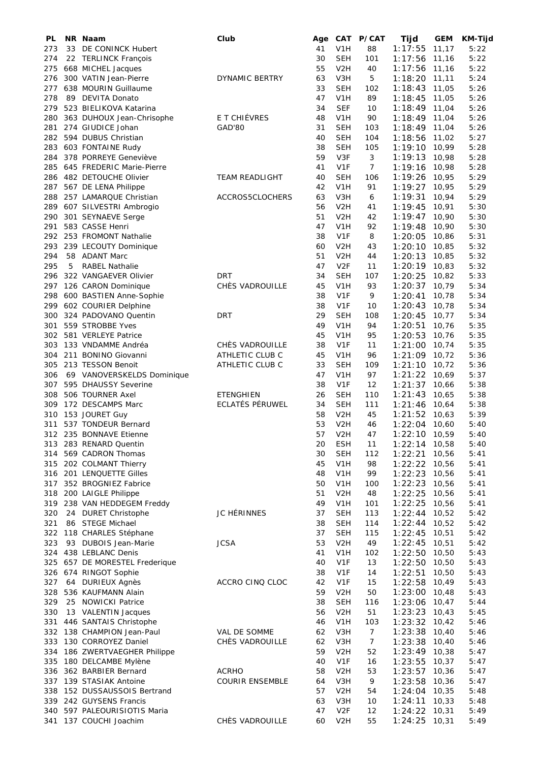| PL  |    | NR Naam                    | Club                   | Age | <b>CAT</b>       | <b>P/CAT</b>   | Tijd    | <b>GEM</b> | <b>KM-Tijd</b> |
|-----|----|----------------------------|------------------------|-----|------------------|----------------|---------|------------|----------------|
| 273 | 33 | DE CONINCK Hubert          |                        | 41  | V <sub>1</sub> H | 88             | 1:17:55 | 11,17      | 5:22           |
| 274 |    | 22 TERLINCK François       |                        | 30  | <b>SEH</b>       | 101            | 1:17:56 | 11,16      | 5:22           |
| 275 |    | 668 MICHEL Jacques         |                        | 55  | V <sub>2</sub> H | 40             | 1:17:56 | 11,16      | 5:22           |
| 276 |    | 300 VATIN Jean-Pierre      | DYNAMIC BERTRY         | 63  | V3H              | 5              | 1:18:20 | 11,11      | 5:24           |
| 277 |    | 638 MOURIN Guillaume       |                        | 33  | <b>SEH</b>       | 102            | 1:18:43 | 11,05      | 5:26           |
| 278 |    | 89 DEVITA Donato           |                        | 47  | V1H              | 89             | 1:18:45 | 11,05      | 5:26           |
| 279 |    | 523 BIELIKOVA Katarina     |                        | 34  | <b>SEF</b>       | 10             | 1:18:49 | 11,04      | 5:26           |
| 280 |    | 363 DUHOUX Jean-Chrisophe  | E T CHIÉVRES           | 48  | V1H              | 90             | 1:18:49 | 11,04      | 5:26           |
| 281 |    | 274 GIUDICE Johan          | GAD'80                 | 31  | <b>SEH</b>       | 103            | 1:18:49 | 11,04      | 5:26           |
| 282 |    | 594 DUBUS Christian        |                        | 40  | <b>SEH</b>       | 104            | 1:18:56 | 11,02      | 5:27           |
| 283 |    | 603 FONTAINE Rudy          |                        | 38  | <b>SEH</b>       | 105            | 1:19:10 | 10,99      | 5:28           |
| 284 |    | 378 PORREYE Geneviève      |                        | 59  | V3F              | 3              | 1:19:13 | 10,98      | 5:28           |
| 285 |    | 645 FREDERIC Marie-Pierre  |                        | 41  | V <sub>1F</sub>  | 7              | 1:19:16 | 10,98      | 5:28           |
| 286 |    | 482 DETOUCHE Olivier       | <b>TEAM READLIGHT</b>  | 40  | <b>SEH</b>       | 106            | 1:19:26 | 10,95      | 5:29           |
| 287 |    | 567 DE LENA Philippe       |                        | 42  | V <sub>1</sub> H | 91             | 1:19:27 | 10,95      | 5:29           |
| 288 |    | 257 LAMARQUE Christian     | ACCROS5CLOCHERS        | 63  | V3H              | 6              | 1:19:31 | 10,94      | 5:29           |
| 289 |    | 607 SILVESTRI Ambrogio     |                        | 56  | V <sub>2</sub> H | 41             | 1:19:45 | 10,91      | 5:30           |
| 290 |    | 301 SEYNAEVE Serge         |                        | 51  | V <sub>2</sub> H | 42             | 1:19:47 | 10,90      | 5:30           |
| 291 |    | 583 CASSE Henri            |                        | 47  | V1H              | 92             | 1:19:48 | 10,90      | 5:30           |
| 292 |    | 253 FROMONT Nathalie       |                        | 38  | V <sub>1F</sub>  | 8              | 1:20:05 | 10,86      | 5:31           |
| 293 |    | 239 LECOUTY Dominique      |                        | 60  | V <sub>2</sub> H | 43             | 1:20:10 | 10,85      | 5:32           |
| 294 |    | 58 ADANT Marc              |                        | 51  | V <sub>2</sub> H | 44             | 1:20:13 | 10,85      | 5:32           |
| 295 | 5  | <b>RABEL Nathalie</b>      |                        | 47  | V <sub>2F</sub>  | 11             | 1:20:19 | 10,83      | 5:32           |
| 296 |    | 322 VANGAEVER Olivier      | <b>DRT</b>             | 34  | <b>SEH</b>       | 107            | 1:20:25 | 10,82      | 5:33           |
| 297 |    | 126 CARON Dominique        | CHÈS VADROUILLE        | 45  | V1H              | 93             | 1:20:37 | 10,79      | 5:34           |
| 298 |    | 600 BASTIEN Anne-Sophie    |                        | 38  | V <sub>1F</sub>  | 9              | 1:20:41 | 10,78      | 5:34           |
| 299 |    | 602 COURIER Delphine       |                        | 38  | V <sub>1F</sub>  | 10             | 1:20:43 | 10,78      | 5:34           |
| 300 |    | 324 PADOVANO Quentin       | <b>DRT</b>             | 29  | <b>SEH</b>       | 108            | 1:20:45 | 10,77      | 5:34           |
| 301 |    | 559 STROBBE Yves           |                        | 49  | V1H              | 94             | 1:20:51 | 10,76      | 5:35           |
| 302 |    | 581 VERLEYE Patrice        |                        | 45  | V1H              | 95             | 1:20:53 | 10,76      | 5:35           |
| 303 |    | 133 VNDAMME Andréa         | CHÈS VADROUILLE        | 38  | V <sub>1F</sub>  | 11             | 1:21:00 | 10,74      | 5:35           |
| 304 |    | 211 BONINO Giovanni        | ATHLETIC CLUB C        | 45  | V <sub>1</sub> H | 96             | 1:21:09 | 10,72      | 5:36           |
| 305 |    | 213 TESSON Benoit          | ATHLETIC CLUB C        | 33  | <b>SEH</b>       | 109            | 1:21:10 | 10,72      | 5:36           |
| 306 |    | 69 VANOVERSKELDS Dominique |                        | 47  | V1H              | 97             | 1:21:22 | 10,69      | 5:37           |
| 307 |    | 595 DHAUSSY Severine       |                        | 38  | V <sub>1F</sub>  | 12             | 1:21:37 | 10,66      | 5:38           |
| 308 |    | 506 TOURNER Axel           | <b>ETENGHIEN</b>       | 26  | <b>SEH</b>       | 110            | 1:21:43 | 10,65      | 5:38           |
| 309 |    | 172 DESCAMPS Marc          | ECLATÉS PÉRUWEL        | 34  | <b>SEH</b>       | 111            | 1:21:46 | 10,64      | 5:38           |
| 310 |    | 153 JOURET Guy             |                        | 58  | V <sub>2</sub> H | 45             | 1:21:52 | 10,63      | 5:39           |
| 311 |    | 537 TONDEUR Bernard        |                        | 53  | V <sub>2</sub> H | 46             | 1:22:04 | 10,60      | 5:40           |
|     |    | 312 235 BONNAVE Etienne    |                        | 57  | V <sub>2</sub> H | 47             | 1:22:10 | 10,59      | 5:40           |
| 313 |    | 283 RENARD Quentin         |                        | 20  | <b>ESH</b>       | 11             | 1:22:14 | 10,58      | 5:40           |
| 314 |    | 569 CADRON Thomas          |                        | 30  | <b>SEH</b>       | 112            | 1:22:21 | 10,56      | 5:41           |
| 315 |    | 202 COLMANT Thierry        |                        | 45  | V <sub>1</sub> H | 98             | 1:22:22 | 10,56      | 5:41           |
|     |    | 316 201 LENQUETTE Gilles   |                        | 48  | V1H              | 99             | 1:22:23 | 10,56      | 5:41           |
| 317 |    | 352 BROGNIEZ Fabrice       |                        | 50  | V1H              | 100            | 1:22:23 | 10,56      | 5:41           |
| 318 |    | 200 LAIGLE Philippe        |                        | 51  | V <sub>2</sub> H | 48             | 1:22:25 | 10,56      | 5:41           |
| 319 |    | 238 VAN HEDDEGEM Freddy    |                        | 49  | V1H              | 101            | 1:22:25 | 10,56      | 5:41           |
| 320 |    | 24 DURET Christophe        | JC HÉRINNES            | 37  | <b>SEH</b>       | 113            | 1:22:44 | 10,52      | 5:42           |
| 321 |    | 86 STEGE Michael           |                        | 38  | <b>SEH</b>       | 114            | 1:22:44 | 10,52      | 5:42           |
|     |    | 322 118 CHARLES Stéphane   |                        | 37  | <b>SEH</b>       | 115            | 1:22:45 | 10,51      | 5:42           |
| 323 |    | 93 DUBOIS Jean-Marie       | <b>JCSA</b>            | 53  | V <sub>2</sub> H | 49             | 1:22:45 | 10,51      | 5:42           |
|     |    | 324 438 LEBLANC Denis      |                        | 41  | V1H              | 102            | 1:22:50 | 10,50      | 5:43           |
| 325 |    | 657 DE MORESTEL Frederique |                        | 40  | V <sub>1F</sub>  | 13             | 1:22:50 | 10,50      | 5:43           |
|     |    | 326 674 RINGOT Sophie      |                        | 38  | V1F              | 14             | 1:22:51 | 10,50      | 5:43           |
| 327 |    | 64 DURIEUX Agnès           | ACCRO CINQ CLOC        | 42  | V <sub>1F</sub>  | 15             | 1:22:58 | 10,49      | 5:43           |
| 328 |    | 536 KAUFMANN Alain         |                        | 59  | V <sub>2</sub> H | 50             | 1:23:00 | 10,48      | 5:43           |
| 329 |    | 25 NOWICKI Patrice         |                        | 38  | <b>SEH</b>       | 116            | 1:23:06 | 10,47      | 5:44           |
| 330 |    | 13 VALENTIN Jacques        |                        | 56  | V <sub>2</sub> H | 51             | 1:23:23 | 10,43      | 5:45           |
| 331 |    | 446 SANTAIS Christophe     |                        | 46  | V1H              | 103            | 1:23:32 | 10,42      | 5:46           |
|     |    | 332 138 CHAMPION Jean-Paul | VAL DE SOMME           | 62  | V3H              | $\overline{7}$ | 1:23:38 | 10,40      | 5:46           |
| 333 |    | 130 CORROYEZ Daniel        | CHÈS VADROUILLE        | 62  | V3H              | $\overline{7}$ | 1:23:38 | 10,40      | 5:46           |
| 334 |    | 186 ZWERTVAEGHER Philippe  |                        | 59  | V <sub>2</sub> H | 52             | 1:23:49 | 10,38      | 5:47           |
| 335 |    | 180 DELCAMBE Mylène        |                        | 40  | V <sub>1</sub> F | 16             | 1:23:55 | 10,37      | 5:47           |
| 336 |    | 362 BARBIER Bernard        | <b>ACRHO</b>           | 58  | V <sub>2</sub> H | 53             | 1:23:57 | 10,36      | 5:47           |
|     |    | 337 139 STASIAK Antoine    | <b>COURIR ENSEMBLE</b> | 64  | V3H              | 9              | 1:23:58 | 10,36      | 5:47           |
| 338 |    | 152 DUSSAUSSOIS Bertrand   |                        | 57  | V <sub>2</sub> H | 54             | 1:24:04 | 10,35      | 5:48           |
| 339 |    | 242 GUYSENS Francis        |                        | 63  | V3H              | 10             | 1:24:11 | 10,33      | 5:48           |
| 340 |    | 597 PALEOURISIOTIS Maria   |                        | 47  | V <sub>2F</sub>  | 12             | 1:24:22 | 10,31      | 5:49           |
|     |    | 341 137 COUCHI Joachim     | CHÈS VADROUILLE        | 60  | V <sub>2</sub> H | 55             | 1:24:25 | 10,31      | 5:49           |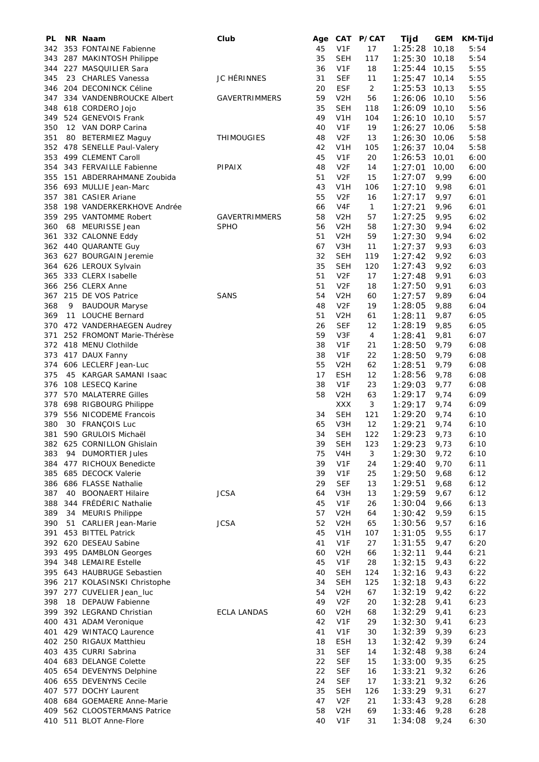| PL         |    | NR Naam                                              | Club                 | Age      |                                | CAT P/CAT      | Tijd               | <b>GEM</b>   | <b>KM-Tijd</b> |
|------------|----|------------------------------------------------------|----------------------|----------|--------------------------------|----------------|--------------------|--------------|----------------|
| 342        |    | 353 FONTAINE Fabienne                                |                      | 45       | V <sub>1F</sub>                | 17             | 1:25:28            | 10,18        | 5:54           |
| 343        |    | 287 MAKINTOSH Philippe                               |                      | 35       | SEH                            | 117            | 1:25:30            | 10,18        | 5:54           |
| 344        |    | 227 MASQUILIER Sara                                  |                      | 36       | V <sub>1F</sub>                | 18             | 1:25:44            | 10,15        | 5:55           |
| 345        |    | 23 CHARLES Vanessa                                   | JC HÉRINNES          | 31       | <b>SEF</b>                     | 11             | 1:25:47            | 10,14        | 5:55           |
| 346        |    | 204 DECONINCK Céline                                 |                      | 20       | <b>ESF</b>                     | $\overline{2}$ | 1:25:53            | 10,13        | 5:55           |
| 347        |    | 334 VANDENBROUCKE Albert                             | <b>GAVERTRIMMERS</b> | 59       | V <sub>2</sub> H               | 56             | 1:26:06            | 10,10        | 5:56           |
| 348        |    | 618 CORDERO Jojo                                     |                      | 35       | SEH                            | 118            | 1:26:09            | 10,10        | 5:56           |
| 349        |    | 524 GENEVOIS Frank                                   |                      | 49       | V1H                            | 104            | 1:26:10            | 10,10        | 5:57           |
| 350        |    | 12 VAN DORP Carina                                   |                      | 40       | V <sub>1F</sub>                | 19             | 1:26:27            | 10,06        | 5:58           |
| 351        |    | 80 BETERMIEZ Maguy                                   | <b>THIMOUGIES</b>    | 48       | V <sub>2F</sub>                | 13             | 1:26:30            | 10,06        | 5:58           |
|            |    | 352 478 SENELLE Paul-Valery                          |                      | 42       | V1H                            | 105            | 1:26:37            | 10,04        | 5:58           |
| 353        |    | 499 CLEMENT Caroll                                   |                      | 45       | V <sub>1F</sub>                | 20             | 1:26:53            | 10,01        | 6:00           |
| 354        |    | 343 FERVAILLE Fabienne                               | PIPAIX               | 48       | V <sub>2F</sub>                | 14             | 1:27:01            | 10,00        | 6:00           |
| 355        |    | 151 ABDERRAHMANE Zoubida                             |                      | 51       | V <sub>2F</sub>                | 15             | 1:27:07            | 9,99         | 6:00           |
| 356        |    | 693 MULLIE Jean-Marc                                 |                      | 43       | V <sub>1</sub> H               | 106            | 1:27:10            | 9,98         | 6:01           |
| 357        |    | 381 CASIER Ariane                                    |                      | 55       | V <sub>2F</sub>                | 16             | 1:27:17            | 9,97         | 6:01           |
| 358        |    | 198 VANDERKERKHOVE Andrée                            |                      | 66       | V <sub>4F</sub>                | $\mathbf{1}$   | 1:27:21            | 9,96         | 6:01           |
| 359        |    | 295 VANTOMME Robert                                  | <b>GAVERTRIMMERS</b> | 58       | V <sub>2</sub> H               | 57             | 1:27:25            | 9,95         | 6:02           |
| 360        |    | 68 MEURISSE Jean                                     | <b>SPHO</b>          | 56       | V2H                            | 58             | 1:27:30            | 9,94         | 6:02           |
| 361        |    | 332 CALONNE Eddy                                     |                      | 51       | V2H                            | 59             | 1:27:30            | 9,94         | 6:02           |
| 362        |    | 440 QUARANTE Guy                                     |                      | 67       | V <sub>3</sub> H               | 11             | 1:27:37            | 9,93         | 6:03           |
|            |    | 363 627 BOURGAIN Jeremie                             |                      | 32       | <b>SEH</b>                     | 119            | 1:27:42            | 9,92         | 6:03           |
| 364        |    | 626 LEROUX Sylvain                                   |                      | 35       | SEH                            | 120            | 1:27:43            | 9,92         | 6:03           |
| 365        |    | 333 CLERX Isabelle                                   |                      | 51       | V <sub>2F</sub>                | 17             | 1:27:48            | 9,91         | 6:03           |
| 366        |    | 256 CLERX Anne                                       |                      | 51       | V <sub>2F</sub>                | 18             | 1:27:50            | 9,91         | 6:03           |
| 367        |    | 215 DE VOS Patrice                                   | <b>SANS</b>          | 54       | V <sub>2</sub> H               | 60             | 1:27:57            | 9,89         | 6:04           |
| 368        | 9  | <b>BAUDOUR Maryse</b>                                |                      | 48<br>51 | V <sub>2F</sub>                | 19             | 1:28:05            | 9,88         | 6:04           |
| 369<br>370 |    | 11 LOUCHE Bernard                                    |                      | 26       | V <sub>2</sub> H<br><b>SEF</b> | 61<br>12       | 1:28:11            | 9,87         | 6:05<br>6:05   |
| 371        |    | 472 VANDERHAEGEN Audrey<br>252 FROMONT Marie-Thérèse |                      | 59       | V3F                            | 4              | 1:28:19            | 9,85         | 6:07           |
| 372        |    | 418 MENU Clothilde                                   |                      | 38       | V <sub>1F</sub>                | 21             | 1:28:41            | 9,81         | 6:08           |
| 373        |    | 417 DAUX Fanny                                       |                      | 38       | V <sub>1F</sub>                | 22             | 1:28:50<br>1:28:50 | 9,79<br>9,79 | 6:08           |
| 374        |    | 606 LECLERF Jean-Luc                                 |                      | 55       | V <sub>2</sub> H               | 62             | 1:28:51            | 9,79         | 6:08           |
| 375        |    | 45 KARGAR SAMANI Isaac                               |                      | 17       | <b>ESH</b>                     | 12             | 1:28:56            | 9,78         | 6:08           |
| 376        |    | 108 LESECQ Karine                                    |                      | 38       | V <sub>1F</sub>                | 23             | 1:29:03            | 9,77         | 6:08           |
| 377        |    | 570 MALATERRE Gilles                                 |                      | 58       | V <sub>2</sub> H               | 63             | 1:29:17            | 9,74         | 6:09           |
| 378        |    | 698 RIGBOURG Philippe                                |                      |          | <b>XXX</b>                     | 3              | 1:29:17            | 9,74         | 6:09           |
| 379        |    | 556 NICODEME Francois                                |                      | 34       | <b>SEH</b>                     | 121            | 1:29:20            | 9,74         | 6:10           |
| 380        |    | 30 FRANÇOIS Luc                                      |                      | 65       | V3H                            | 12             | 1:29:21            | 9,74         | 6:10           |
| 381        |    | 590 GRULOIS Michaël                                  |                      | 34       | <b>SEH</b>                     | 122            | 1:29:23            | 9,73         | 6:10           |
| 382        |    | 625 CORNILLON Ghislain                               |                      | 39       | <b>SEH</b>                     | 123            | 1:29:23            | 9,73         | 6:10           |
| 383        | 94 | <b>DUMORTIER Jules</b>                               |                      | 75       | V4H                            | 3              | 1:29:30            | 9,72         | 6:10           |
| 384        |    | 477 RICHOUX Benedicte                                |                      | 39       | V <sub>1F</sub>                | 24             | 1:29:40            | 9,70         | 6:11           |
| 385        |    | 685 DECOCK Valerie                                   |                      | 39       | V <sub>1F</sub>                | 25             | 1:29:50            | 9,68         | 6:12           |
| 386        |    | 686 FLASSE Nathalie                                  |                      | 29       | <b>SEF</b>                     | 13             | 1:29:51            | 9,68         | 6:12           |
| 387        | 40 | <b>BOONAERT Hilaire</b>                              | <b>JCSA</b>          | 64       | V3H                            | 13             | 1:29:59            | 9,67         | 6:12           |
| 388        |    | 344 FRÉDÉRIC Nathalie                                |                      | 45       | V <sub>1F</sub>                | 26             | 1:30:04            | 9,66         | 6:13           |
| 389        | 34 | <b>MEURIS Philippe</b>                               |                      | 57       | V <sub>2</sub> H               | 64             | 1:30:42            | 9,59         | 6:15           |
| 390        | 51 | <b>CARLIER Jean-Marie</b>                            | <b>JCSA</b>          | 52       | V <sub>2</sub> H               | 65             | 1:30:56            | 9,57         | 6:16           |
| 391        |    | 453 BITTEL Patrick                                   |                      | 45       | V1H                            | 107            | 1:31:05            | 9,55         | 6:17           |
| 392        |    | 620 DESEAU Sabine                                    |                      | 41       | V1F                            | 27             | 1:31:55            | 9,47         | 6:20           |
| 393        |    | 495 DAMBLON Georges                                  |                      | 60       | V <sub>2</sub> H               | 66             | 1:32:11            | 9,44         | 6:21           |
| 394        |    | 348 LEMAIRE Estelle                                  |                      | 45       | V <sub>1F</sub>                | 28             | 1:32:15            | 9,43         | 6:22           |
| 395        |    | 643 HAUBRUGE Sebastien                               |                      | 40       | <b>SEH</b>                     | 124            | 1:32:16            | 9,43         | 6:22           |
|            |    | 396 217 KOLASINSKI Christophe                        |                      | 34       | <b>SEH</b>                     | 125            | 1:32:18            | 9,43         | 6:22           |
| 397        |    | 277 CUVELIER Jean_luc                                |                      | 54       | V <sub>2</sub> H               | 67             | 1:32:19            | 9,42         | 6:22           |
| 398        |    | 18 DEPAUW Fabienne                                   |                      | 49       | V <sub>2F</sub>                | 20             | 1:32:28            | 9,41         | 6:23           |
| 399        |    | 392 LEGRAND Christian                                | <b>ECLA LANDAS</b>   | 60       | V <sub>2</sub> H               | 68             | 1:32:29            | 9,41         | 6:23           |
| 400        |    | 431 ADAM Veronique                                   |                      | 42       | V <sub>1F</sub>                | 29             | 1:32:30            | 9,41         | 6:23           |
| 401        |    | 429 WINTACQ Laurence                                 |                      | 41       | V1F                            | 30             | 1:32:39            | 9,39         | 6:23           |
|            |    | 402 250 RIGAUX Matthieu                              |                      | 18       | <b>ESH</b>                     | 13             | 1:32:42            | 9,39         | 6:24           |
|            |    | 403 435 CURRI Sabrina                                |                      | 31       | <b>SEF</b>                     | 14             | 1:32:48            | 9,38         | 6:24           |
| 404        |    | 683 DELANGE Colette                                  |                      | 22       | <b>SEF</b>                     | 15             | 1:33:00            | 9,35         | 6:25           |
|            |    | 405 654 DEVENYNS Delphine                            |                      | 22       | <b>SEF</b>                     | 16             | 1:33:21            | 9,32         | 6:26           |
|            |    | 406 655 DEVENYNS Cecile                              |                      | 24       | <b>SEF</b>                     | 17             | 1:33:21            | 9,32         | 6:26           |
| 407        |    | 577 DOCHY Laurent                                    |                      | 35       | <b>SEH</b>                     | 126            | 1:33:29            | 9,31         | 6:27           |
| 408        |    | 684 GOEMAERE Anne-Marie                              |                      | 47       | V <sub>2F</sub>                | 21             | 1:33:43            | 9,28         | 6:28           |
| 409        |    | 562 CLOOSTERMANS Patrice<br>410 511 BLOT Anne-Flore  |                      | 58<br>40 | V <sub>2</sub> H               | 69             | 1:33:46            | 9,28         | 6:28           |
|            |    |                                                      |                      |          | V1F                            | 31             | 1:34:08            | 9,24         | 6:30           |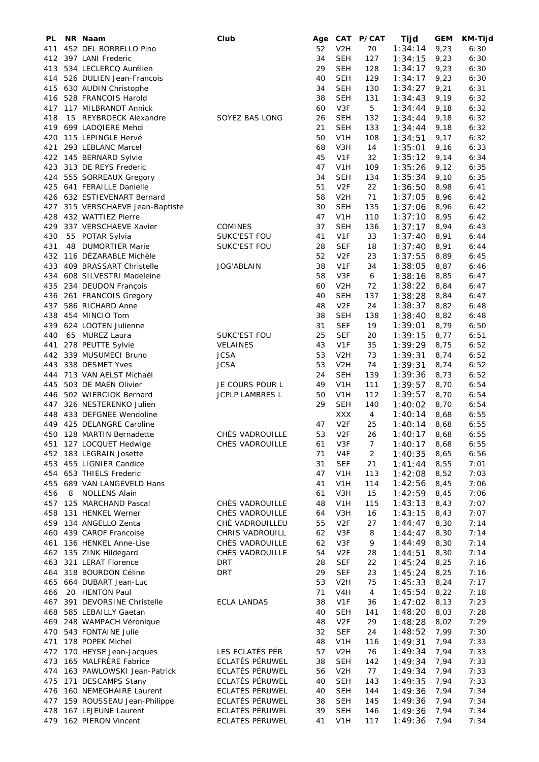| PL  |    | NR Naam                      | Club                   | Age      | CAT                            | <b>P/CAT</b> | Tijd    | <b>GEM</b> | <b>KM-Tijd</b> |
|-----|----|------------------------------|------------------------|----------|--------------------------------|--------------|---------|------------|----------------|
| 411 |    | 452 DEL BORRELLO Pino        |                        | 52       | V <sub>2</sub> H               | 70           | 1:34:14 | 9,23       | 6:30           |
| 412 |    | 397 LANI Frederic            |                        | 34       | SEH                            | 127          | 1:34:15 | 9,23       | 6:30           |
| 413 |    | 534 LECLERCQ Aurélien        |                        | 29       | SEH                            | 128          | 1:34:17 | 9,23       | 6:30           |
| 414 |    | 526 DULIEN Jean-Francois     |                        | 40       | <b>SEH</b>                     | 129          | 1:34:17 | 9,23       | 6:30           |
| 415 |    | 630 AUDIN Christophe         |                        | 34       | SEH                            | 130          | 1:34:27 | 9,21       | 6:31           |
| 416 |    | 528 FRANCOIS Harold          |                        | 38       | SEH                            | 131          | 1:34:43 | 9,19       | 6:32           |
| 417 |    | 117 MILBRANDT Annick         |                        | 60       | V3F                            | 5            | 1:34:44 | 9,18       | 6:32           |
| 418 |    | 15 REYBROECK Alexandre       | SOYEZ BAS LONG         | 26       | SEH                            | 132          | 1:34:44 | 9,18       | 6:32           |
| 419 |    | 699 LADQIERE Mehdi           |                        | 21       | SEH                            | 133          | 1:34:44 | 9,18       | 6:32           |
| 420 |    | 115 LEPINGLE Hervé           |                        | 50       | V <sub>1</sub> H               | 108          | 1:34:51 | 9,17       | 6:32           |
| 421 |    | 293 LEBLANC Marcel           |                        | 68       | V <sub>3</sub> H               | 14           | 1:35:01 | 9,16       | 6:33           |
|     |    | 422 145 BERNARD Sylvie       |                        | 45       | V <sub>1F</sub>                | 32           | 1:35:12 | 9,14       | 6:34           |
| 423 |    | 313 DE REYS Frederic         |                        | 47       | V1H                            | 109          | 1:35:26 | 9,12       | 6:35           |
|     |    | 424 555 SORREAUX Gregory     |                        | 34       | SEH                            | 134          | 1:35:34 | 9,10       | 6:35           |
|     |    | 425 641 FERAILLE Danielle    |                        | 51       | V <sub>2</sub> F               | 22           | 1:36:50 | 8,98       | 6:41           |
|     |    | 426 632 ESTIEVENART Bernard  |                        | 58       | V <sub>2</sub> H               | 71           | 1:37:05 | 8,96       | 6:42           |
| 427 |    | 315 VERSCHAEVE Jean-Baptiste |                        | 30       | SEH                            | 135          | 1:37:06 | 8,96       | 6:42           |
| 428 |    | 432 WATTIEZ Pierre           |                        | 47       | V <sub>1</sub> H               | 110          | 1:37:10 | 8,95       | 6:42           |
| 429 |    | 337 VERSCHAEVE Xavier        | COMINES                | 37       | SEH                            | 136          | 1:37:17 | 8,94       | 6:43           |
| 430 |    | 55 POTAR Sylvia              | <b>SUKC'EST FOU</b>    | 41       | V <sub>1F</sub>                | 33           | 1:37:40 | 8,91       | 6:44           |
| 431 | 48 | <b>DUMORTIER Marie</b>       | SUKC'EST FOU           | 28       | <b>SEF</b>                     | 18           | 1:37:40 | 8,91       | 6:44           |
| 432 |    | 116 DÉZARABLE Michèle        |                        | 52       | V <sub>2</sub> F               | 23           | 1:37:55 | 8,89       | 6:45           |
| 433 |    | 409 BRASSART Christelle      | <b>JOG'ABLAIN</b>      | 38       | V1F                            | 34           | 1:38:05 | 8,87       | 6:46           |
| 434 |    | 608 SILVESTRI Madeleine      |                        | 58       | V3F                            | 6            | 1:38:16 | 8,85       | 6:47           |
| 435 |    | 234 DEUDON François          |                        | 60       | V <sub>2</sub> H               | 72           | 1:38:22 | 8,84       | 6:47           |
| 436 |    | 261 FRANCOIS Gregory         |                        | 40       | SEH                            | 137          | 1:38:28 | 8,84       | 6:47           |
| 437 |    | 586 RICHARD Anne             |                        | 48       | V <sub>2F</sub>                | 24           | 1:38:37 | 8,82       | 6:48           |
|     |    | 438 454 MINCIO Tom           |                        | 38       | <b>SEH</b>                     | 138          | 1:38:40 | 8,82       | 6:48           |
| 439 |    | 624 LOOTEN Julienne          |                        | 31       | <b>SEF</b>                     | 19           | 1:39:01 | 8,79       | 6:50           |
| 440 |    | 65 MUREZ Laura               | SUKC'EST FOU           | 25       | <b>SEF</b>                     | 20           | 1:39:15 | 8,77       | 6:51           |
|     |    |                              | <b>VELAINES</b>        | 43       | V1F                            | 35           | 1:39:29 | 8,75       | 6:52           |
| 441 |    | 278 PEUTTE Sylvie            |                        |          |                                |              |         |            |                |
| 442 |    | 339 MUSUMECI Bruno           | <b>JCSA</b>            | 53       | V <sub>2</sub> H               | 73           | 1:39:31 | 8,74       | 6:52           |
| 443 |    | 338 DESMET Yves              | <b>JCSA</b>            | 53<br>24 | V <sub>2</sub> H<br><b>SEH</b> | 74           | 1:39:31 | 8,74       | 6:52           |
| 444 |    | 713 VAN AELST Michaël        |                        |          |                                | 139          | 1:39:36 | 8,73       | 6:52           |
| 445 |    | 503 DE MAEN Olivier          | JE COURS POUR L        | 49       | V <sub>1</sub> H               | 111          | 1:39:57 | 8,70       | 6:54           |
| 446 |    | 502 WIERCIOK Bernard         | <b>JCPLP LAMBRES L</b> | 50       | V <sub>1</sub> H               | 112          | 1:39:57 | 8,70       | 6:54           |
| 447 |    | 326 NESTERENKO Julien        |                        | 29       | <b>SEH</b>                     | 140          | 1:40:02 | 8,70       | 6:54           |
|     |    | 448 433 DEFGNEE Wendoline    |                        |          | XXX                            | 4            | 1:40:14 | 8,68       | 6:55           |
| 449 |    | 425 DELANGRE Caroline        |                        | 47       | V <sub>2</sub> F               | 25           | 1:40:14 | 8,68       | 6:55           |
| 450 |    | 128 MARTIN Bernadette        | CHÈS VADROUILLE        | 53       | V <sub>2F</sub>                | 26           | 1:40:17 | 8,68       | 6:55           |
| 451 |    | 127 LOCQUET Hedwige          | CHÈS VADROUILLE        | 61       | V3F                            | 7            | 1:40:17 | 8,68       | 6:55           |
|     |    | 452 183 LEGRAIN Josette      |                        | 71       | V <sub>4F</sub>                | 2            | 1:40:35 | 8,65       | 6:56           |
|     |    | 453 455 LIGNIER Candice      |                        | 31       | <b>SEF</b>                     | 21           | 1:41:44 | 8,55       | 7:01           |
|     |    | 454 653 THIELS Frederic      |                        | 47       | V <sub>1</sub> H               | 113          | 1:42:08 | 8,52       | 7:03           |
|     |    | 455 689 VAN LANGEVELD Hans   |                        | 41       | V <sub>1</sub> H               | 114          | 1:42:56 | 8,45       | 7:06           |
| 456 | 8  | <b>NOLLENS Alain</b>         |                        | 61       | V3H                            | 15           | 1:42:59 | 8,45       | 7:06           |
| 457 |    | 125 MARCHAND Pascal          | CHÈS VADROUILLE        | 48       | V <sub>1</sub> H               | 115          | 1:43:13 | 8,43       | 7:07           |
| 458 |    | 131 HENKEL Werner            | CHÈS VADROUILLE        | 64       | V3H                            | 16           | 1:43:15 | 8,43       | 7:07           |
|     |    | 459 134 ANGELLO Zenta        | CHÈ VADROUILLEU        | 55       | V <sub>2F</sub>                | 27           | 1:44:47 | 8,30       | 7:14           |
|     |    | 460 439 CAROF Francoise      | CHRIS VADROUILL        | 62       | V3F                            | 8            | 1:44:47 | 8,30       | 7:14           |
| 461 |    | 136 HENKEL Anne-Lise         | CHÈS VADROUILLE        | 62       | V3F                            | 9            | 1:44:49 | 8,30       | 7:14           |
| 462 |    | 135 ZINK Hildegard           | CHÉS VADROUILLE        | 54       | V <sub>2F</sub>                | 28           | 1:44:51 | 8,30       | 7:14           |
| 463 |    | 321 LERAT Florence           | <b>DRT</b>             | 28       | <b>SEF</b>                     | 22           | 1:45:24 | 8,25       | 7:16           |
| 464 |    | 318 BOURDON Céline           | <b>DRT</b>             | 29       | <b>SEF</b>                     | 23           | 1:45:24 | 8,25       | 7:16           |
| 465 |    | 664 DUBART Jean-Luc          |                        | 53       | V <sub>2</sub> H               | 75           | 1:45:33 | 8,24       | 7:17           |
| 466 |    | 20 HENTON Paul               |                        | 71       | V <sub>4</sub> H               | 4            | 1:45:54 | 8,22       | 7:18           |
| 467 |    | 391 DEVORSINE Christelle     | <b>ECLA LANDAS</b>     | 38       | V1F                            | 36           | 1:47:02 | 8,13       | 7:23           |
| 468 |    | 585 LEBAILLY Gaetan          |                        | 40       | <b>SEH</b>                     | 141          | 1:48:20 | 8,03       | 7:28           |
| 469 |    | 248 WAMPACH Véronique        |                        | 48       | V <sub>2F</sub>                | 29           | 1:48:28 | 8,02       | 7:29           |
|     |    | 470 543 FONTAINE Julie       |                        | 32       | <b>SEF</b>                     | 24           | 1:48:52 | 7,99       | 7:30           |
|     |    | 471 178 POPEK Michel         |                        | 48       | V <sub>1</sub> H               | 116          | 1:49:31 | 7,94       | 7:33           |
| 472 |    | 170 HEYSE Jean-Jacques       | LES ECLATÉS PÉR        | 57       | V <sub>2</sub> H               | 76           | 1:49:34 | 7,94       | 7:33           |
| 473 |    | 165 MALFRÈRE Fabrice         | ECLATÉS PÉRUWEL        | 38       | <b>SEH</b>                     | 142          | 1:49:34 | 7,94       | 7:33           |
| 474 |    | 163 PAWLOWSKI Jean-Patrick   | ECLATÉS PÉRUWEL        | 56       | V <sub>2</sub> H               | 77           | 1:49:34 | 7,94       | 7:33           |
| 475 |    | 171 DESCAMPS Stany           | ECLATÉS PÉRUWEL        | 40       | <b>SEH</b>                     | 143          | 1:49:35 | 7,94       | 7:33           |
| 476 |    | 160 NEMEGHAIRE Laurent       | ECLATÉS PÉRUWEL        | 40       | <b>SEH</b>                     | 144          | 1:49:36 | 7,94       | 7:34           |
| 477 |    | 159 ROUSSEAU Jean-Philippe   | ECLATÉS PÉRUWEL        | 38       | <b>SEH</b>                     | 145          | 1:49:36 | 7,94       | 7:34           |
| 478 |    | 167 LEJEUNE Laurent          | ECLATÉS PÉRUWEL        | 39       | <b>SEH</b>                     | 146          | 1:49:36 | 7,94       | 7:34           |
| 479 |    | 162 PIERON Vincent           | ECLATÉS PÉRUWEL        | 41       | V <sub>1</sub> H               | 117          | 1:49:36 | 7,94       | 7:34           |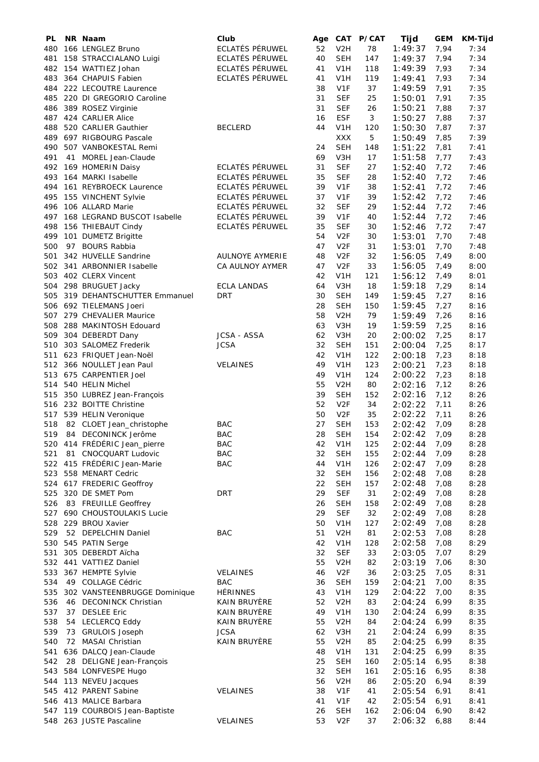| PL  | NR Naam                         | Club                               | Age |                  | CAT P/CAT | Tijd               | <b>GEM</b> | <b>KM-Tijd</b> |
|-----|---------------------------------|------------------------------------|-----|------------------|-----------|--------------------|------------|----------------|
| 480 | 166 LENGLEZ Bruno               | ECLATÉS PÉRUWEL                    | 52  | V <sub>2</sub> H | 78        | 1:49:37            | 7,94       | 7:34           |
| 481 | 158 STRACCIALANO Luigi          | ECLATÉS PÉRUWEL                    | 40  | <b>SEH</b>       | 147       | 1:49:37            | 7,94       | 7:34           |
| 482 | 154 WATTIEZ Johan               | ECLATÉS PÉRUWEL                    | 41  | V <sub>1</sub> H | 118       | 1:49:39            | 7,93       | 7:34           |
| 483 | 364 CHAPUIS Fabien              | ECLATÉS PÉRUWEL                    | 41  | V <sub>1</sub> H | 119       | 1:49:41            | 7,93       | 7:34           |
| 484 | 222 LECOUTRE Laurence           |                                    | 38  | V <sub>1F</sub>  | 37        | 1:49:59            | 7,91       | 7:35           |
| 485 | 220 DI GREGORIO Caroline        |                                    | 31  | <b>SEF</b>       | 25        | 1:50:01            | 7,91       | 7:35           |
| 486 | 389 ROSEZ Virginie              |                                    | 31  | <b>SEF</b>       | 26        | 1:50:21            | 7,88       | 7:37           |
| 487 | 424 CARLIER Alice               |                                    | 16  | <b>ESF</b>       | 3         | 1:50:27            | 7,88       | 7:37           |
| 488 | 520 CARLIER Gauthier            | <b>BECLERD</b>                     | 44  | V <sub>1</sub> H | 120       | 1:50:30            | 7,87       | 7:37           |
| 489 | 697 RIGBOURG Pascale            |                                    |     | <b>XXX</b>       | 5         | 1:50:49            | 7,85       | 7:39           |
| 490 | 507 VANBOKESTAL Remi            |                                    | 24  | <b>SEH</b>       | 148       | 1:51:22            | 7,81       | 7:41           |
| 491 | 41 MOREL Jean-Claude            |                                    | 69  | V3H              | 17        | 1:51:58            | 7,77       | 7:43           |
|     | 492 169 HOMERIN Daisy           | ECLATÉS PÉRUWEL                    | 31  | <b>SEF</b>       | 27        | 1:52:40            | 7,72       | 7:46           |
| 493 | 164 MARKI Isabelle              | ECLATÉS PÉRUWEL                    | 35  | <b>SEF</b>       | 28        | 1:52:40            | 7,72       | 7:46           |
|     |                                 |                                    | 39  | V <sub>1F</sub>  |           |                    |            |                |
| 494 | 161 REYBROECK Laurence          | ECLATÉS PÉRUWEL<br>ECLATÉS PÉRUWEL | 37  | V <sub>1F</sub>  | 38<br>39  | 1:52:41            | 7,72       | 7:46           |
| 495 | 155 VINCHENT Sylvie             |                                    |     |                  |           | 1:52:42            | 7,72       | 7:46           |
| 496 | 106 ALLARD Marie                | ECLATÉS PÉRUWEL                    | 32  | <b>SEF</b>       | 29        | 1:52:44            | 7,72       | 7:46           |
| 497 | 168 LEGRAND BUSCOT Isabelle     | ECLATÉS PÉRUWEL                    | 39  | V <sub>1</sub> F | 40        | 1:52:44            | 7,72       | 7:46           |
| 498 | 156 THIEBAUT Cindy              | ECLATÉS PÉRUWEL                    | 35  | <b>SEF</b>       | 30        | 1:52:46            | 7,72       | 7:47           |
| 499 | 101 DUMETZ Brigitte             |                                    | 54  | V <sub>2F</sub>  | 30        | 1:53:01            | 7,70       | 7:48           |
| 500 | 97 BOURS Rabbia                 |                                    | 47  | V <sub>2F</sub>  | 31        | 1:53:01            | 7,70       | 7:48           |
| 501 | 342 HUVELLE Sandrine            | <b>AULNOYE AYMERIE</b>             | 48  | V <sub>2F</sub>  | 32        | 1:56:05            | 7,49       | 8:00           |
| 502 | 341 ARBONNIER Isabelle          | CA AULNOY AYMER                    | 47  | V <sub>2F</sub>  | 33        | 1:56:05            | 7,49       | 8:00           |
|     | 503 402 CLERX Vincent           |                                    | 42  | V1H              | 121       | 1:56:12            | 7,49       | 8:01           |
|     | 504 298 BRUGUET Jacky           | <b>ECLA LANDAS</b>                 | 64  | V3H              | 18        | 1:59:18            | 7,29       | 8:14           |
|     | 505 319 DEHANTSCHUTTER Emmanuel | <b>DRT</b>                         | 30  | <b>SEH</b>       | 149       | 1:59:45            | 7,27       | 8:16           |
|     | 506 692 TIELEMANS Joeri         |                                    | 28  | <b>SEH</b>       | 150       | 1:59:45            | 7,27       | 8:16           |
|     | 507 279 CHEVALIER Maurice       |                                    | 58  | V <sub>2</sub> H | 79        | 1:59:49            | 7,26       | 8:16           |
| 508 | 288 MAKINTOSH Edouard           |                                    | 63  | V3H              | 19        | 1:59:59            | 7,25       | 8:16           |
| 509 | 304 DEBERDT Dany                | <b>JCSA - ASSA</b>                 | 62  | V3H              | 20        | 2:00:02            | 7,25       | 8:17           |
| 510 | 303 SALOMEZ Frederik            | <b>JCSA</b>                        | 32  | <b>SEH</b>       | 151       | 2:00:04            | 7,25       | 8:17           |
| 511 | 623 FRIQUET Jean-Noël           |                                    | 42  | V <sub>1</sub> H | 122       | 2:00:18            | 7,23       | 8:18           |
| 512 | 366 NOULLET Jean Paul           | <b>VELAINES</b>                    | 49  | V <sub>1</sub> H | 123       | 2:00:21            | 7,23       | 8:18           |
| 513 | 675 CARPENTIER Joel             |                                    | 49  | V <sub>1</sub> H | 124       | 2:00:22            | 7,23       | 8:18           |
| 514 | 540 HELIN Michel                |                                    | 55  | V <sub>2</sub> H | 80        | 2:02:16            | 7,12       | 8:26           |
| 515 | 350 LUBREZ Jean-François        |                                    | 39  | <b>SEH</b>       | 152       | 2:02:16            | 7,12       | 8:26           |
| 516 | 232 BOITTE Christine            |                                    | 52  | V <sub>2F</sub>  | 34        | 2:02:22            | 7,11       | 8:26           |
|     | 517 539 HELIN Veronique         |                                    | 50  | V <sub>2F</sub>  | 35        | 2:02:22            | 7,11       | 8:26           |
| 518 | 82 CLOET Jean_christophe        | <b>BAC</b>                         | 27  | <b>SEH</b>       | 153       | 2:02:42            | 7,09       | 8:28           |
| 519 | 84 DECONINCK Jerôme             | <b>BAC</b>                         | 28  | SEH              | 154       | 2:02:42            | 7,09       | 8:28           |
| 520 | 414 FRÉDÉRIC Jean_pierre        | <b>BAC</b>                         | 42  | V <sub>1</sub> H | 125       | 2:02:44            | 7,09       | 8:28           |
| 521 | 81 CNOCQUART Ludovic            | <b>BAC</b>                         | 32  | <b>SEH</b>       | 155       | 2:02:44            | 7,09       | 8:28           |
|     | 522 415 FRÉDÉRIC Jean-Marie     | <b>BAC</b>                         | 44  | V <sub>1</sub> H | 126       | 2:02:47            | 7,09       | 8:28           |
| 523 | 558 MENART Cedric               |                                    | 32  | <b>SEH</b>       | 156       | 2:02:48            | 7,08       | 8:28           |
|     | 524 617 FREDERIC Geoffroy       |                                    | 22  | <b>SEH</b>       | 157       | 2:02:48            | 7,08       | 8:28           |
| 525 | 320 DE SMET Pom                 | <b>DRT</b>                         | 29  | <b>SEF</b>       | 31        | 2:02:49            | 7,08       | 8:28           |
| 526 | 83 FREUILLE Geoffrey            |                                    | 26  | <b>SEH</b>       | 158       | 2:02:49            | 7,08       | 8:28           |
| 527 | 690 CHOUSTOULAKIS Lucie         |                                    | 29  | <b>SEF</b>       | 32        | 2:02:49            | 7,08       | 8:28           |
| 528 | 229 BROU Xavier                 |                                    | 50  | V <sub>1</sub> H | 127       | 2:02:49            | 7,08       | 8:28           |
| 529 | 52 DEPELCHIN Daniel             | <b>BAC</b>                         | 51  | V <sub>2</sub> H | 81        | 2:02:53            | 7,08       | 8:28           |
| 530 | 545 PATIN Serge                 |                                    | 42  | V <sub>1</sub> H | 128       |                    |            | 8:29           |
| 531 |                                 |                                    | 32  | <b>SEF</b>       | 33        | 2:02:58<br>2:03:05 | 7,08       | 8:29           |
|     | 305 DEBERDT Aïcha               |                                    | 55  |                  |           |                    | 7,07       |                |
| 532 | 441 VATTIEZ Daniel              |                                    |     | V <sub>2</sub> H | 82        | 2:03:19            | 7,06       | 8:30           |
| 533 | 367 HEMPTE Sylvie               | <b>VELAINES</b>                    | 46  | V <sub>2F</sub>  | 36        | 2:03:25            | 7,05       | 8:31           |
| 534 | 49 COLLAGE Cédric               | <b>BAC</b>                         | 36  | <b>SEH</b>       | 159       | 2:04:21            | 7,00       | 8:35           |
| 535 | 302 VANSTEENBRUGGE Dominique    | <b>HÉRINNES</b>                    | 43  | V <sub>1</sub> H | 129       | 2:04:22            | 7,00       | 8:35           |
| 536 | 46 DECONINCK Christian          | KAIN BRUYÈRE                       | 52  | V <sub>2</sub> H | 83        | 2:04:24            | 6,99       | 8:35           |
| 537 | 37 DESLEE Eric                  | KAIN BRUYÈRE                       | 49  | V <sub>1</sub> H | 130       | 2:04:24            | 6,99       | 8:35           |
| 538 | 54 LECLERCQ Eddy                | KAIN BRUYÈRE                       | 55  | V <sub>2</sub> H | 84        | 2:04:24            | 6,99       | 8:35           |
| 539 | 73 GRULOIS Joseph               | <b>JCSA</b>                        | 62  | V <sub>3</sub> H | 21        | 2:04:24            | 6,99       | 8:35           |
| 540 | 72 MASAI Christian              | KAIN BRUYÈRE                       | 55  | V <sub>2</sub> H | 85        | 2:04:25            | 6,99       | 8:35           |
| 541 | 636 DALCQ Jean-Claude           |                                    | 48  | V <sub>1</sub> H | 131       | 2:04:25            | 6,99       | 8:35           |
| 542 | 28 DELIGNE Jean-François        |                                    | 25  | <b>SEH</b>       | 160       | 2:05:14            | 6,95       | 8:38           |
| 543 | 584 LONFVESPE Hugo              |                                    | 32  | <b>SEH</b>       | 161       | 2:05:16            | 6,95       | 8:38           |
| 544 | 113 NEVEU Jacques               |                                    | 56  | V <sub>2</sub> H | 86        | 2:05:20            | 6,94       | 8:39           |
| 545 | 412 PARENT Sabine               | <b>VELAINES</b>                    | 38  | V <sub>1F</sub>  | 41        | 2:05:54            | 6,91       | 8:41           |
| 546 | 413 MALICE Barbara              |                                    | 41  | V <sub>1F</sub>  | 42        | 2:05:54            | 6,91       | 8:41           |
| 547 | 119 COURBOIS Jean-Baptiste      |                                    | 26  | <b>SEH</b>       | 162       | 2:06:04            | 6,90       | 8:42           |
| 548 | 263 JUSTE Pascaline             | VELAINES                           | 53  | V <sub>2F</sub>  | 37        | 2:06:32            | 6,88       | 8:44           |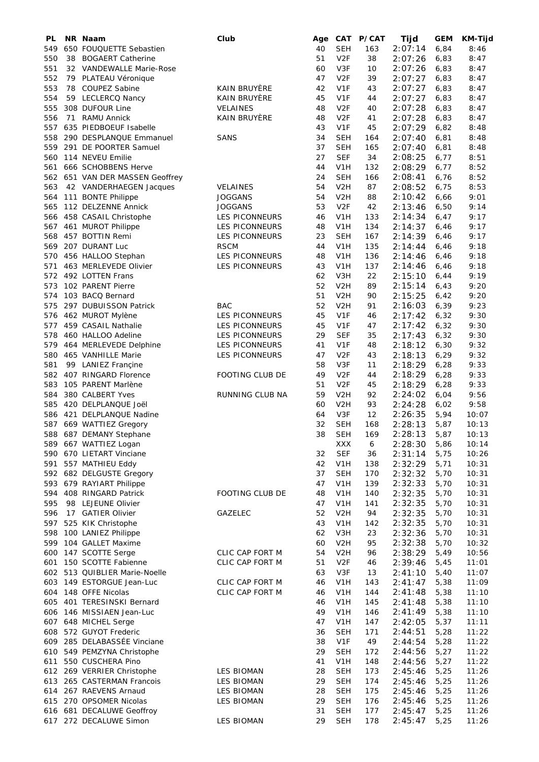| PL  | NR Naam                         | Club                   | Age |                  | CAT P/CAT | Tijd    | <b>GEM</b> | <b>KM-Tijd</b> |
|-----|---------------------------------|------------------------|-----|------------------|-----------|---------|------------|----------------|
| 549 | 650 FOUQUETTE Sebastien         |                        | 40  | <b>SEH</b>       | 163       | 2:07:14 | 6,84       | 8:46           |
| 550 | 38 BOGAERT Catherine            |                        | 51  | V <sub>2F</sub>  | 38        | 2:07:26 | 6,83       | 8:47           |
| 551 | 32 VANDEWALLE Marie-Rose        |                        | 60  | V3F              | 10        | 2:07:26 | 6,83       | 8:47           |
| 552 | 79 PLATEAU Véronique            |                        | 47  | V <sub>2F</sub>  | 39        | 2:07:27 | 6,83       | 8:47           |
| 553 | 78 COUPEZ Sabine                | <b>KAIN BRUYÈRE</b>    | 42  | V <sub>1</sub> F | 43        | 2:07:27 | 6,83       | 8:47           |
| 554 | 59 LECLERCQ Nancy               | KAIN BRUYÈRE           | 45  | V <sub>1F</sub>  | 44        | 2:07:27 | 6,83       | 8:47           |
| 555 | 308 DUFOUR Line                 | <b>VELAINES</b>        | 48  | V <sub>2F</sub>  | 40        | 2:07:28 | 6,83       | 8:47           |
| 556 | 71 RAMU Annick                  | KAIN BRUYÈRE           | 48  | V <sub>2F</sub>  | 41        | 2:07:28 | 6,83       | 8:47           |
| 557 | 635 PIEDBOEUF Isabelle          |                        | 43  | V <sub>1F</sub>  | 45        | 2:07:29 | 6,82       | 8:48           |
| 558 | 290 DESPLANQUE Emmanuel         | SANS                   | 34  | <b>SEH</b>       | 164       | 2:07:40 | 6,81       | 8:48           |
| 559 | 291 DE POORTER Samuel           |                        | 37  | <b>SEH</b>       | 165       | 2:07:40 | 6,81       | 8:48           |
| 560 | 114 NEVEU Emilie                |                        | 27  | <b>SEF</b>       | 34        | 2:08:25 | 6,77       | 8:51           |
| 561 | 666 SCHOBBENS Herve             |                        | 44  | V <sub>1</sub> H | 132       | 2:08:29 | 6,77       | 8:52           |
|     | 562 651 VAN DER MASSEN Geoffrey |                        | 24  | <b>SEH</b>       | 166       | 2:08:41 | 6,76       | 8:52           |
| 563 | 42 VANDERHAEGEN Jacques         | <b>VELAINES</b>        | 54  | V <sub>2</sub> H | 87        | 2:08:52 | 6,75       | 8:53           |
|     | 564 111 BONTE Philippe          | <b>JOGGANS</b>         | 54  | V <sub>2</sub> H | 88        | 2:10:42 | 6,66       | 9:01           |
| 565 | 112 DELZENNE Annick             | <b>JOGGANS</b>         | 53  | V <sub>2F</sub>  | 42        | 2:13:46 | 6,50       | 9:14           |
|     | 458 CASAIL Christophe           |                        | 46  | V <sub>1</sub> H | 133       |         | 6,47       | 9:17           |
| 566 |                                 | LES PICONNEURS         |     |                  |           | 2:14:34 |            |                |
| 567 | 461 MUROT Philippe              | LES PICONNEURS         | 48  | V <sub>1</sub> H | 134       | 2:14:37 | 6,46       | 9:17           |
| 568 | 457 BOTTIN Remi                 | <b>LES PICONNEURS</b>  | 23  | <b>SEH</b>       | 167       | 2:14:39 | 6,46       | 9:17           |
| 569 | 207 DURANT Luc                  | <b>RSCM</b>            | 44  | V <sub>1</sub> H | 135       | 2:14:44 | 6,46       | 9:18           |
| 570 | 456 HALLOO Stephan              | <b>LES PICONNEURS</b>  | 48  | V <sub>1</sub> H | 136       | 2:14:46 | 6,46       | 9:18           |
| 571 | 463 MERLEVEDE Olivier           | <b>LES PICONNEURS</b>  | 43  | V <sub>1</sub> H | 137       | 2:14:46 | 6,46       | 9:18           |
| 572 | 492 LOTTEN Frans                |                        | 62  | V3H              | 22        | 2:15:10 | 6,44       | 9:19           |
| 573 | 102 PARENT Pierre               |                        | 52  | V <sub>2</sub> H | 89        | 2:15:14 | 6,43       | 9:20           |
| 574 | 103 BACQ Bernard                |                        | 51  | V <sub>2</sub> H | 90        | 2:15:25 | 6,42       | 9:20           |
| 575 | 297 DUBUISSON Patrick           | <b>BAC</b>             | 52  | V <sub>2</sub> H | 91        | 2:16:03 | 6,39       | 9:23           |
| 576 | 462 MUROT Mylène                | LES PICONNEURS         | 45  | V <sub>1F</sub>  | 46        | 2:17:42 | 6,32       | 9:30           |
| 577 | 459 CASAIL Nathalie             | <b>LES PICONNEURS</b>  | 45  | V <sub>1</sub> F | 47        | 2:17:42 | 6,32       | 9:30           |
| 578 | 460 HALLOO Adeline              | LES PICONNEURS         | 29  | <b>SEF</b>       | 35        | 2:17:43 | 6,32       | 9:30           |
| 579 | 464 MERLEVEDE Delphine          | LES PICONNEURS         | 41  | V <sub>1</sub> F | 48        | 2:18:12 | 6, 30      | 9:32           |
| 580 | 465 VANHILLE Marie              | <b>LES PICONNEURS</b>  | 47  | V <sub>2F</sub>  | 43        | 2:18:13 | 6, 29      | 9:32           |
| 581 | 99 LANIEZ Francine              |                        | 58  | V3F              | 11        | 2:18:29 | 6,28       | 9:33           |
| 582 | 407 RINGARD Florence            | FOOTING CLUB DE        | 49  | V <sub>2F</sub>  | 44        | 2:18:29 | 6,28       | 9:33           |
| 583 | 105 PARENT Marlène              |                        | 51  | V <sub>2F</sub>  | 45        | 2:18:29 | 6,28       | 9:33           |
| 584 | 380 CALBERT Yves                | RUNNING CLUB NA        | 59  | V <sub>2</sub> H | 92        | 2:24:02 | 6,04       | 9:56           |
| 585 | 420 DELPLANQUE Joël             |                        | 60  | V <sub>2</sub> H | 93        | 2:24:28 | 6,02       | 9:58           |
|     | 586 421 DELPLANQUE Nadine       |                        | 64  | V3F              | 12        | 2:26:35 | 5,94       | 10:07          |
| 587 | 669 WATTIEZ Gregory             |                        | 32  | <b>SEH</b>       | 168       | 2:28:13 | 5,87       | 10:13          |
| 588 | 687 DEMANY Stephane             |                        | 38  | SEH              | 169       | 2:28:13 | 5,87       | 10:13          |
| 589 | 667 WATTIEZ Logan               |                        |     | XXX              |           | 2:28:30 | 5,86       | 10:14          |
|     |                                 |                        |     |                  | 6         |         |            |                |
| 590 | 670 LIETART Vinciane            |                        | 32  | <b>SEF</b>       | 36        | 2:31:14 | 5,75       | 10:26          |
| 591 | 557 MATHIEU Eddy                |                        | 42  | V <sub>1</sub> H | 138       | 2:32:29 | 5,71       | 10:31          |
|     | 592 682 DELGUSTE Gregory        |                        | 37  | <b>SEH</b>       | 170       | 2:32:32 | 5,70       | 10:31          |
| 593 | 679 RAYIART Philippe            |                        | 47  | V <sub>1</sub> H | 139       | 2:32:33 | 5,70       | 10:31          |
| 594 | 408 RINGARD Patrick             | <b>FOOTING CLUB DE</b> | 48  | V <sub>1</sub> H | 140       | 2:32:35 | 5,70       | 10:31          |
| 595 | 98 LEJEUNE Olivier              |                        | 47  | V <sub>1</sub> H | 141       | 2:32:35 | 5,70       | 10:31          |
| 596 | 17 GATIER Olivier               | GAZELEC                | 52  | V <sub>2</sub> H | 94        | 2:32:35 | 5,70       | 10:31          |
| 597 | 525 KIK Christophe              |                        | 43  | V <sub>1</sub> H | 142       | 2:32:35 | 5,70       | 10:31          |
| 598 | 100 LANIEZ Philippe             |                        | 62  | V <sub>3</sub> H | 23        | 2:32:36 | 5,70       | 10:31          |
| 599 | 104 GALLET Maxime               |                        | 60  | V <sub>2</sub> H | 95        | 2:32:38 | 5,70       | 10:32          |
| 600 | 147 SCOTTE Serge                | CLIC CAP FORT M        | 54  | V <sub>2</sub> H | 96        | 2:38:29 | 5,49       | 10:56          |
| 601 | 150 SCOTTE Fabienne             | CLIC CAP FORT M        | 51  | V <sub>2F</sub>  | 46        | 2:39:46 | 5,45       | 11:01          |
| 602 | 513 QUIBLIER Marie-Noelle       |                        | 63  | V3F              | 13        | 2:41:10 | 5,40       | 11:07          |
| 603 | 149 ESTORGUE Jean-Luc           | CLIC CAP FORT M        | 46  | V <sub>1</sub> H | 143       | 2:41:47 | 5,38       | 11:09          |
| 604 | 148 OFFE Nicolas                | CLIC CAP FORT M        | 46  | V <sub>1</sub> H | 144       | 2:41:48 | 5,38       | 11:10          |
| 605 | 401 TERESINSKI Bernard          |                        | 46  | V <sub>1</sub> H | 145       | 2:41:48 | 5,38       | 11:10          |
| 606 | 146 MISSIAEN Jean-Luc           |                        | 49  | V <sub>1</sub> H | 146       | 2:41:49 | 5,38       | 11:10          |
| 607 | 648 MICHEL Serge                |                        | 47  | V <sub>1</sub> H | 147       | 2:42:05 | 5,37       | 11:11          |
| 608 | 572 GUYOT Frederic              |                        | 36  | <b>SEH</b>       | 171       | 2:44:51 | 5,28       | 11:22          |
| 609 | 285 DELABASSÉE Vinciane         |                        | 38  | V <sub>1F</sub>  | 49        | 2:44:54 | 5,28       | 11:22          |
| 610 | 549 PEMZYNA Christophe          |                        | 29  | <b>SEH</b>       | 172       | 2:44:56 | 5,27       | 11:22          |
| 611 | 550 CUSCHERA Pino               |                        | 41  | V <sub>1</sub> H | 148       | 2:44:56 | 5,27       | 11:22          |
| 612 | 269 VERRIER Christophe          | <b>LES BIOMAN</b>      | 28  | <b>SEH</b>       | 173       | 2:45:46 | 5,25       | 11:26          |
| 613 | 265 CASTERMAN Francois          | <b>LES BIOMAN</b>      | 29  | <b>SEH</b>       | 174       |         |            | 11:26          |
|     | 267 RAEVENS Arnaud              |                        | 28  |                  |           | 2:45:46 | 5,25       |                |
| 614 |                                 | <b>LES BIOMAN</b>      |     | <b>SEH</b>       | 175       | 2:45:46 | 5,25       | 11:26          |
| 615 | 270 OPSOMER Nicolas             | <b>LES BIOMAN</b>      | 29  | <b>SEH</b>       | 176       | 2:45:46 | 5,25       | 11:26          |
| 616 | 681 DECALUWE Geoffroy           |                        | 31  | <b>SEH</b>       | 177       | 2:45:47 | 5,25       | 11:26          |
| 617 | 272 DECALUWE Simon              | <b>LES BIOMAN</b>      | 29  | <b>SEH</b>       | 178       | 2:45:47 | 5,25       | 11:26          |